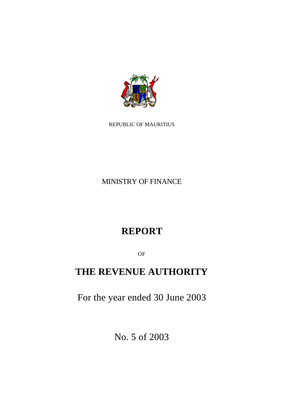

REPUBLIC OF MAURITIUS

MINISTRY OF FINANCE

# **REPORT**

OF

# **THE REVENUE AUTHORITY**

For the year ended 30 June 2003

No. 5 of 2003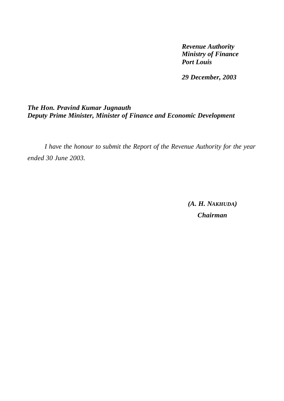*Revenue Authority Ministry of Finance Port Louis*

*29 December, 2003*

### *The Hon. Pravind Kumar Jugnauth Deputy Prime Minister, Minister of Finance and Economic Development*

*I have the honour to submit the Report of the Revenue Authority for the year ended 30 June 2003.*

> *(A. H. NAKHUDA) Chairman*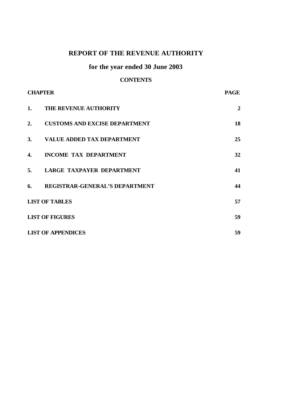## **REPORT OF THE REVENUE AUTHORITY**

## **for the year ended 30 June 2003**

### **CONTENTS**

| <b>CHAPTER</b> |                                       | <b>PAGE</b>    |
|----------------|---------------------------------------|----------------|
| 1.             | <b>THE REVENUE AUTHORITY</b>          | $\overline{2}$ |
| 2.             | <b>CUSTOMS AND EXCISE DEPARTMENT</b>  | 18             |
|                | 3. VALUE ADDED TAX DEPARTMENT         | 25             |
| 4.             | <b>INCOME TAX DEPARTMENT</b>          | 32             |
| 5.             | LARGE TAXPAYER DEPARTMENT             | 41             |
| 6.             | <b>REGISTRAR-GENERAL'S DEPARTMENT</b> | 44             |
|                | <b>LIST OF TABLES</b>                 | 57             |
|                | <b>LIST OF FIGURES</b>                | 59             |
|                | <b>LIST OF APPENDICES</b>             | 59             |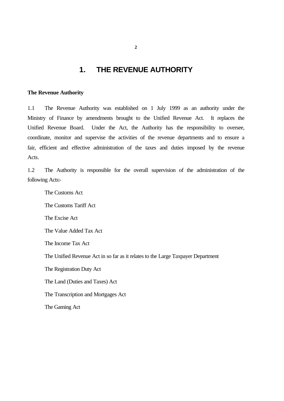### **1. THE REVENUE AUTHORITY**

#### **The Revenue Authority**

1.1 The Revenue Authority was established on 1 July 1999 as an authority under the Ministry of Finance by amendments brought to the Unified Revenue Act. It replaces the Unified Revenue Board. Under the Act, the Authority has the responsibility to oversee, coordinate, monitor and supervise the activities of the revenue departments and to ensure a fair, efficient and effective administration of the taxes and duties imposed by the revenue Acts.

1.2 The Authority is responsible for the overall supervision of the administration of the following Acts:-

The Customs Act The Customs Tariff Act The Excise Act The Value Added Tax Act The Income Tax Act The Unified Revenue Act in so far as it relates to the Large Taxpayer Department The Registration Duty Act The Land (Duties and Taxes) Act The Transcription and Mortgages Act The Gaming Act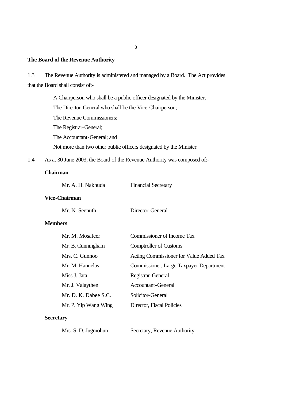#### **The Board of the Revenue Authority**

1.3 The Revenue Authority is administered and managed by a Board. The Act provides that the Board shall consist of:-

> A Chairperson who shall be a public officer designated by the Minister; The Director-General who shall be the Vice-Chairperson; The Revenue Commissioners; The Registrar-General; The Accountant-General; and Not more than two other public officers designated by the Minister.

1.4 As at 30 June 2003, the Board of the Revenue Authority was composed of:-

#### **Chairman**

| <b>Financial Secretary</b> |
|----------------------------|
|                            |

#### **Vice-Chairman**

Mr. N. Seenuth Director-General

#### **Members**

|                  | Mr. M. Mosafeer      | Commissioner of Income Tax              |
|------------------|----------------------|-----------------------------------------|
|                  | Mr. B. Cunningham    | <b>Comptroller of Customs</b>           |
|                  | Mrs. C. Gunnoo       | Acting Commissioner for Value Added Tax |
|                  | Mr. M. Hannelas      | Commissioner, Large Taxpayer Department |
|                  | Miss J. Jata         | Registrar-General                       |
|                  | Mr. J. Valaythen     | Accountant-General                      |
|                  | Mr. D. K. Dabee S.C. | Solicitor-General                       |
|                  | Mr. P. Yip Wang Wing | Director, Fiscal Policies               |
| <b>Secretary</b> |                      |                                         |
|                  |                      |                                         |

Mrs. S. D. Jugmohun Secretary, Revenue Authority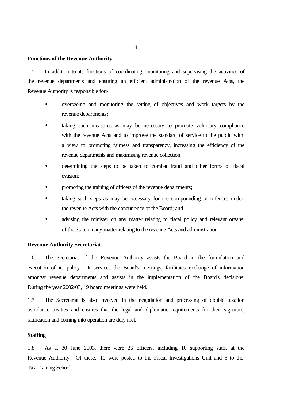#### **Functions of the Revenue Authority**

1.5 In addition to its functions of coordinating, monitoring and supervising the activities of the revenue departments and ensuring an efficient administration of the revenue Acts, the Revenue Authority is responsible for:-

- overseeing and monitoring the setting of objectives and work targets by the revenue departments;
- taking such measures as may be necessary to promote voluntary compliance with the revenue Acts and to improve the standard of service to the public with a view to promoting fairness and transparency, increasing the efficiency of the revenue departments and maximising revenue collection;
- determining the steps to be taken to combat fraud and other forms of fiscal evasion;
- promoting the training of officers of the revenue departments;
- taking such steps as may be necessary for the compounding of offences under the revenue Acts with the concurrence of the Board; and
- advising the minister on any matter relating to fiscal policy and relevant organs of the State on any matter relating to the revenue Acts and administration.

#### **Revenue Authority Secretariat**

1.6 The Secretariat of the Revenue Authority assists the Board in the formulation and execution of its policy. It services the Board's meetings, facilitates exchange of information amongst revenue departments and assists in the implementation of the Board's decisions. During the year 2002/03, 19 board meetings were held.

1.7 The Secretariat is also involved in the negotiation and processing of double taxation avoidance treaties and ensures that the legal and diplomatic requirements for their signature, ratification and coming into operation are duly met.

#### **Staffing**

1.8 As at 30 June 2003, there were 26 officers, including 10 supporting staff, at the Revenue Authority. Of these, 10 were posted to the Fiscal Investigations Unit and 5 to the Tax Training School.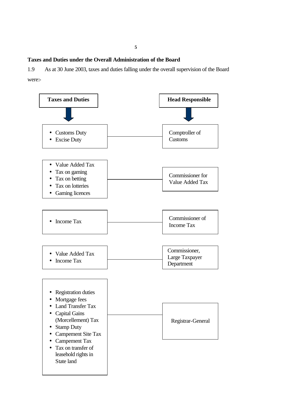#### **Taxes and Duties under the Overall Administration of the Board**

1.9 As at 30 June 2003, taxes and duties falling under the overall supervision of the Board were:-

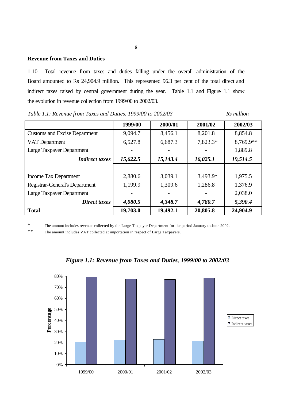#### **Revenue from Taxes and Duties**

1.10 Total revenue from taxes and duties falling under the overall administration of the Board amounted to Rs 24,904.9 million. This represented 96.3 per cent of the total direct and indirect taxes raised by central government during the year. Table 1.1 and Figure 1.1 show the evolution in revenue collection from 1999/00 to 2002/03.

|                                       | 1999/00  | 2000/01  | 2001/02  | 2002/03   |
|---------------------------------------|----------|----------|----------|-----------|
| <b>Customs and Excise Department</b>  | 9,094.7  | 8,456.1  | 8,201.8  | 8,854.8   |
| VAT Department                        | 6,527.8  | 6,687.3  | 7,823.3* | 8,769.9** |
| Large Taxpayer Department             |          |          |          | 1,889.8   |
| <b>Indirect taxes</b>                 | 15,622.5 | 15,143.4 | 16,025.1 | 19,514.5  |
|                                       |          |          |          |           |
| <b>Income Tax Department</b>          | 2,880.6  | 3,039.1  | 3,493.9* | 1,975.5   |
| <b>Registrar-General's Department</b> | 1,199.9  | 1,309.6  | 1,286.8  | 1,376.9   |
| Large Taxpayer Department             |          |          |          | 2,038.0   |
| Direct taxes                          | 4,080.5  | 4,348.7  | 4,780.7  | 5,390.4   |
| <b>Total</b>                          | 19,703.0 | 19,492.1 | 20,805.8 | 24,904.9  |

*Table 1.1: Revenue from Taxes and Duties, 1999/00 to 2002/03* Rs million

\* The amount includes revenue collected by the Large Taxpayer Department for the period January to June 2002.

\*\* The amount includes VAT collected at importation in respect of Large Taxpayers.



#### *Figure 1.1: Revenue from Taxes and Duties, 1999/00 to 2002/03*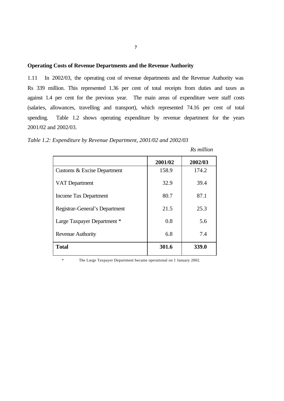#### **Operating Costs of Revenue Departments and the Revenue Authority**

1.11 In 2002/03, the operating cost of revenue departments and the Revenue Authority was Rs 339 million. This represented 1.36 per cent of total receipts from duties and taxes as against 1.4 per cent for the previous year. The main areas of expenditure were staff costs (salaries, allowances, travelling and transport), which represented 74.16 per cent of total spending. Table 1.2 shows operating expenditure by revenue department for the years 2001/02 and 2002/03.

*Table 1.2: Expenditure by Revenue Department, 2001/02 and 2002/03*

|                                | 2001/02 | 2002/03 |
|--------------------------------|---------|---------|
| Customs & Excise Department    | 158.9   | 174.2   |
| VAT Department                 | 32.9    | 39.4    |
| Income Tax Department          | 80.7    | 87.1    |
| Registrar-General's Department | 21.5    | 25.3    |
| Large Taxpayer Department *    | 0.8     | 5.6     |
| Revenue Authority              | 6.8     | 7.4     |
| <b>Total</b>                   | 301.6   | 339.0   |

 *Rs million*

\* The Large Taxpayer Department became operational on 1 January 2002.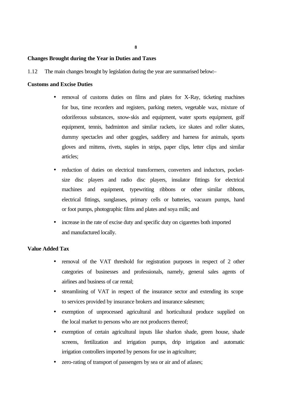**8**

#### **Changes Brought during the Year in Duties and Taxes**

1.12 The main changes brought by legislation during the year are summarised below:–

#### **Customs and Excise Duties**

- removal of customs duties on films and plates for X-Ray, ticketing machines for bus, time recorders and registers, parking meters, vegetable wax, mixture of odoriferous substances, snow-skis and equipment, water sports equipment, golf equipment, tennis, badminton and similar rackets, ice skates and roller skates, dummy spectacles and other goggles, saddlery and harness for animals, sports gloves and mittens, rivets, staples in strips, paper clips, letter clips and similar articles;
- reduction of duties on electrical transformers, converters and inductors, pocketsize disc players and radio disc players, insulator fittings for electrical machines and equipment, typewriting ribbons or other similar ribbons, electrical fittings, sunglasses, primary cells or batteries, vacuum pumps, hand or foot pumps, photographic films and plates and soya milk; and
- increase in the rate of excise duty and specific duty on cigarettes both imported and manufactured locally.

#### **Value Added Tax**

- removal of the VAT threshold for registration purposes in respect of 2 other categories of businesses and professionals, namely, general sales agents of airlines and business of car rental;
- streamlining of VAT in respect of the insurance sector and extending its scope to services provided by insurance brokers and insurance salesmen;
- exemption of unprocessed agricultural and horticultural produce supplied on the local market to persons who are not producers thereof;
- exemption of certain agricultural inputs like sharlon shade, green house, shade screens, fertilization and irrigation pumps, drip irrigation and automatic irrigation controllers imported by persons for use in agriculture;
- zero-rating of transport of passengers by sea or air and of atlases;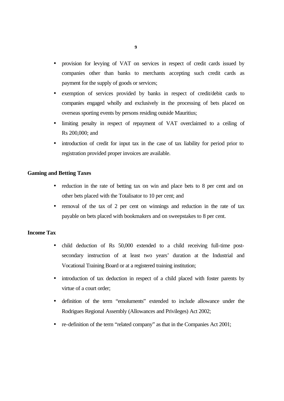- provision for levying of VAT on services in respect of credit cards issued by companies other than banks to merchants accepting such credit cards as payment for the supply of goods or services;
- exemption of services provided by banks in respect of credit/debit cards to companies engaged wholly and exclusively in the processing of bets placed on overseas sporting events by persons residing outside Mauritius;
- limiting penalty in respect of repayment of VAT overclaimed to a ceiling of Rs 200,000; and
- introduction of credit for input tax in the case of tax liability for period prior to registration provided proper invoices are available.

#### **Gaming and Betting Taxes**

- reduction in the rate of betting tax on win and place bets to 8 per cent and on other bets placed with the Totalisator to 10 per cent; and
- removal of the tax of 2 per cent on winnings and reduction in the rate of tax payable on bets placed with bookmakers and on sweepstakes to 8 per cent.

#### **Income Tax**

- child deduction of Rs 50,000 extended to a child receiving full-time postsecondary instruction of at least two years' duration at the Industrial and Vocational Training Board or at a registered training institution;
- introduction of tax deduction in respect of a child placed with foster parents by virtue of a court order;
- definition of the term "emoluments" extended to include allowance under the Rodrigues Regional Assembly (Allowances and Privileges) Act 2002;
- re-definition of the term "related company" as that in the Companies Act 2001;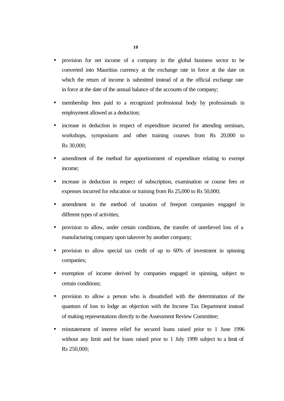- provision for net income of a company in the global business sector to be converted into Mauritius currency at the exchange rate in force at the date on which the return of income is submitted instead of at the official exchange rate in force at the date of the annual balance of the accounts of the company;
- membership fees paid to a recognized professional body by professionals in employment allowed as a deduction;
- increase in deduction in respect of expenditure incurred for attending seminars, workshops, symposiums and other training courses from Rs 20,000 to Rs 30,000;
- amendment of the method for apportionment of expenditure relating to exempt income;
- increase in deduction in respect of subscription, examination or course fees or expenses incurred for education or training from Rs 25,000 to Rs 50,000;
- amendment in the method of taxation of freeport companies engaged in different types of activities;
- provision to allow, under certain conditions, the transfer of unrelieved loss of a manufacturing company upon takeover by another company;
- provision to allow special tax credit of up to 60% of investment in spinning companies;
- exemption of income derived by companies engaged in spinning, subject to certain conditions;
- provision to allow a person who is dissatisfied with the determination of the quantum of loss to lodge an objection with the Income Tax Department instead of making representations directly to the Assessment Review Committee;
- reinstatement of interest relief for secured loans raised prior to 1 June 1996 without any limit and for loans raised prior to 1 July 1999 subject to a limit of Rs 250,000;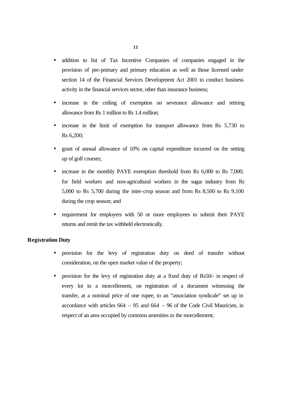- addition to list of Tax Incentive Companies of companies engaged in the provision of pre-primary and primary education as well as those licensed under section 14 of the Financial Services Development Act 2001 to conduct business activity in the financial services sector, other than insurance business;
- increase in the ceiling of exemption on severance allowance and retiring allowance from Rs 1 million to Rs 1.4 million;
- increase in the limit of exemption for transport allowance from Rs 5,730 to Rs 6,200;
- grant of annual allowance of 10% on capital expenditure incurred on the setting up of golf courses;
- increase in the monthly PAYE exemption threshold from Rs 6,000 to Rs 7,000; for field workers and non-agricultural workers in the sugar industry from Rs 5,000 to Rs 5,700 during the inter-crop season and from Rs 8,500 to Rs 9,100 during the crop season; and
- requirement for employers with 50 or more employees to submit their PAYE returns and remit the tax withheld electronically.

#### **Registration Duty**

- provision for the levy of registration duty on deed of transfer without consideration, on the open market value of the property;
- provision for the levy of registration duty at a fixed duty of Rs50/- in respect of every lot in a morcellement, on registration of a document witnessing the transfer, at a nominal price of one rupee, to an "association syndicale" set up in accordance with articles  $664 - 95$  and  $664 - 96$  of the Code Civil Mauricien, in respect of an area occupied by common amenities in the morcellement;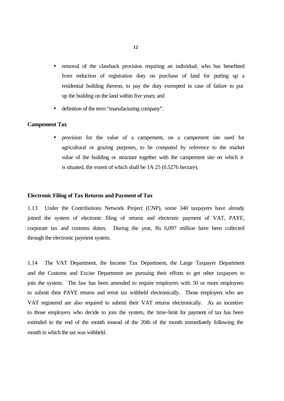- removal of the clawback provision requiring an individual, who has benefitted from reduction of registration duty on purchase of land for putting up a residential building thereon, to pay the duty exempted in case of failure to put up the building on the land within five years; and
- definition of the term "manufacturing company".

#### **Campement Tax**

• provision for the value of a campement, on a campement site used for agricultural or grazing purposes, to be computed by reference to the market value of the building or structure together with the campement site on which it is situated, the extent of which shall be 1A 25 (0.5276 hectare).

#### **Electronic Filing of Tax Returns and Payment of Tax**

1.13 Under the Contributions Network Project (CNP), some 340 taxpayers have already joined the system of electronic filing of returns and electronic payment of VAT, PAYE, corporate tax and customs duties. During the year, Rs 6,097 million have been collected through the electronic payment system.

1.14 The VAT Department, the Income Tax Department, the Large Taxpayer Department and the Customs and Excise Department are pursuing their efforts to get other taxpayers to join the system. The law has been amended to require employers with 50 or more employees to submit their PAYE returns and remit tax withheld electronically. Those employers who are VAT registered are also required to submit their VAT returns electronically. As an incentive to those employers who decide to join the system, the time-limit for payment of tax has been extended to the end of the month instead of the 20th of the month immediately following the month in which the tax was withheld.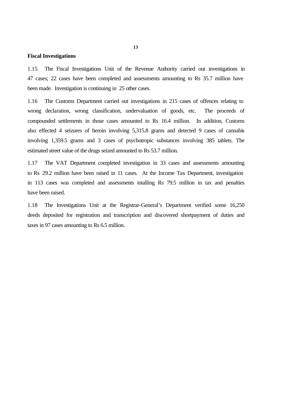#### **Fiscal Investigations**

1.15 The Fiscal Investigations Unit of the Revenue Authority carried out investigations in 47 cases; 22 cases have been completed and assessments amounting to Rs 35.7 million have been made. Investigation is continuing in 25 other cases.

1.16 The Customs Department carried out investigations in 215 cases of offences relating to wrong declaration, wrong classification, undervaluation of goods, etc. The proceeds of compounded settlements in those cases amounted to Rs 16.4 million. In addition, Customs also effected 4 seizures of heroin involving 5,315.8 grams and detected 9 cases of cannabis involving 1,359.5 grams and 3 cases of psychotropic substances involving 385 tablets. The estimated street value of the drugs seized amounted to Rs 53.7 million.

1.17 The VAT Department completed investigation in 33 cases and assessments amounting to Rs 29.2 million have been raised in 11 cases. At the Income Tax Department, investigation in 113 cases was completed and assessments totalling Rs 79.5 million in tax and penalties have been raised.

1.18 The Investigations Unit at the Registrar-General's Department verified some 16,250 deeds deposited for registration and transcription and discovered shortpayment of duties and taxes in 97 cases amounting to Rs 6.5 million.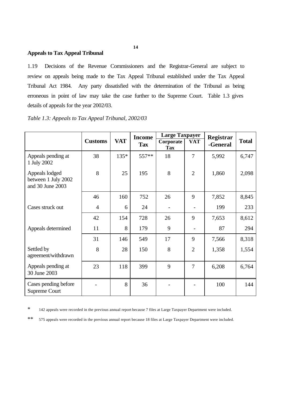#### **Appeals to Tax Appeal Tribunal**

1.19 Decisions of the Revenue Commissioners and the Registrar-General are subject to review on appeals being made to the Tax Appeal Tribunal established under the Tax Appeal Tribunal Act 1984. Any party dissatisfied with the determination of the Tribunal as being erroneous in point of law may take the case further to the Supreme Court. Table 1.3 gives details of appeals for the year 2002/03.

|  | Table 1.3: Appeals to Tax Appeal Tribunal, 2002/03 |  |
|--|----------------------------------------------------|--|
|--|----------------------------------------------------|--|

|                                                           |                |            | <b>Income</b> | <b>Large Taxpayer</b>   |                | Registrar |              |
|-----------------------------------------------------------|----------------|------------|---------------|-------------------------|----------------|-----------|--------------|
|                                                           | <b>Customs</b> | <b>VAT</b> | <b>Tax</b>    | Corporate<br><b>Tax</b> | <b>VAT</b>     | -General  | <b>Total</b> |
| Appeals pending at<br>1 July 2002                         | 38             | $135*$     | $557**$       | 18                      | 7              | 5,992     | 6,747        |
| Appeals lodged<br>between 1 July 2002<br>and 30 June 2003 | 8              | 25         | 195           | 8                       | $\overline{2}$ | 1,860     | 2,098        |
|                                                           | 46             | 160        | 752           | 26                      | 9              | 7,852     | 8,845        |
| Cases struck out                                          | $\overline{4}$ | 6          | 24            | $\overline{a}$          |                | 199       | 233          |
|                                                           | 42             | 154        | 728           | 26                      | 9              | 7,653     | 8,612        |
| Appeals determined                                        | 11             | 8          | 179           | 9                       |                | 87        | 294          |
|                                                           | 31             | 146        | 549           | 17                      | 9              | 7,566     | 8,318        |
| Settled by<br>agreement/withdrawn                         | 8              | 28         | 150           | 8                       | $\overline{2}$ | 1,358     | 1,554        |
| Appeals pending at<br>30 June 2003                        | 23             | 118        | 399           | 9                       | 7              | 6,208     | 6,764        |
| Cases pending before<br>Supreme Court                     |                | 8          | 36            |                         |                | 100       | 144          |

\* 142 appeals were recorded in the previous annual report because 7 files at Large Taxpayer Department were included.

\*\* 575 appeals were recorded in the previous annual report because 18 files at Large Taxpayer Department were included.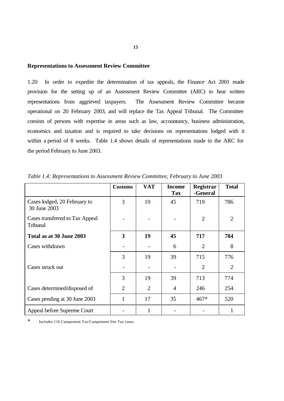#### **Representations to Assessment Review Committee**

1.20 In order to expedite the determination of tax appeals, the Finance Act 2001 made provision for the setting up of an Assessment Review Committee (ARC) to hear written representations from aggrieved taxpayers. The Assessment Review Committee became operational on 20 February 2003, and will replace the Tax Appeal Tribunal. The Committee consists of persons with expertise in areas such as law, accountancy, business administration, economics and taxation and is required to take decisions on representations lodged with it within a period of 8 weeks. Table 1.4 shows details of representations made to the ARC for the period February to June 2003.

|                                              | <b>Customs</b> | <b>VAT</b>     | <b>Income</b><br><b>Tax</b> | Registrar<br>-General | <b>Total</b>   |
|----------------------------------------------|----------------|----------------|-----------------------------|-----------------------|----------------|
| Cases lodged, 20 February to<br>30 June 2003 | 3              | 19             | 45                          | 719                   | 786            |
| Cases transferred to Tax Appeal<br>Tribunal  |                |                |                             | $\overline{2}$        | $\overline{2}$ |
| Total as at 30 June 2003                     | 3              | 19             | 45                          | 717                   | 784            |
| Cases withdrawn                              |                |                | 6                           | $\overline{2}$        | 8              |
|                                              | 3              | 19             | 39                          | 715                   | 776            |
| Cases struck out                             |                |                |                             | 2                     | $\overline{2}$ |
|                                              | 3              | 19             | 39                          | 713                   | 774            |
| Cases determined/disposed of                 | $\overline{2}$ | $\overline{2}$ | 4                           | 246                   | 254            |
| Cases pending at 30 June 2003                | $\mathbf{1}$   | 17             | 35                          | $467*$                | 520            |
| Appeal before Supreme Court                  |                |                |                             |                       |                |

*Table 1.4: Representations to Assessment Review Committee, February to June 2003*

\* Includes 116 Campement Tax/Campement Site Tax cases.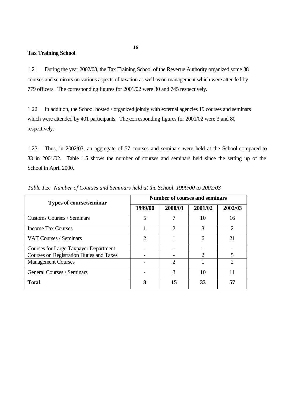#### **Tax Training School**

1.21 During the year 2002/03, the Tax Training School of the Revenue Authority organized some 38 courses and seminars on various aspects of taxation as well as on management which were attended by 779 officers. The corresponding figures for 2001/02 were 30 and 745 respectively.

1.22 In addition, the School hosted / organized jointly with external agencies 19 courses and seminars which were attended by 401 participants. The corresponding figures for 2001/02 were 3 and 80 respectively.

1.23 Thus, in 2002/03, an aggregate of 57 courses and seminars were held at the School compared to 33 in 2001/02. Table 1.5 shows the number of courses and seminars held since the setting up of the School in April 2000.

| <b>Types of course/seminar</b>                  | <b>Number of courses and seminars</b> |                             |               |         |  |
|-------------------------------------------------|---------------------------------------|-----------------------------|---------------|---------|--|
|                                                 | 1999/00                               | 2000/01                     | 2001/02       | 2002/03 |  |
| <b>Customs Courses / Seminars</b>               | 5                                     | 7                           | 10            | 16      |  |
| <b>Income Tax Courses</b>                       |                                       | $\mathcal{D}_{\mathcal{A}}$ | 3             |         |  |
| <b>VAT Courses / Seminars</b>                   | $\mathcal{D}$                         |                             | 6             | 21      |  |
| <b>Courses for Large Taxpayer Department</b>    |                                       |                             |               |         |  |
| <b>Courses on Registration Duties and Taxes</b> |                                       |                             | $\mathcal{D}$ | 5       |  |
| <b>Management Courses</b>                       |                                       | 2                           |               |         |  |
| General Courses / Seminars                      |                                       | 3                           | 10            |         |  |
| <b>Total</b>                                    | 8                                     | 15                          | 33            | 57      |  |

*Table 1.5: Number of Courses and Seminars held at the School, 1999/00 to 2002/03*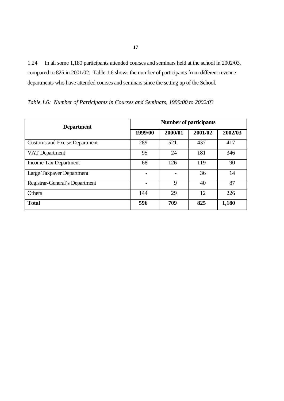1.24 In all some 1,180 participants attended courses and seminars held at the school in 2002/03, compared to 825 in 2001/02. Table 1.6 shows the number of participants from different revenue departments who have attended courses and seminars since the setting up of the School.

| <b>Department</b>                    | <b>Number of participants</b> |         |         |         |  |
|--------------------------------------|-------------------------------|---------|---------|---------|--|
|                                      | 1999/00                       | 2000/01 | 2001/02 | 2002/03 |  |
| <b>Customs and Excise Department</b> | 289                           | 521     | 437     | 417     |  |
| VAT Department                       | 95                            | 24      | 181     | 346     |  |
| Income Tax Department                | 68                            | 126     | 119     | 90      |  |
| Large Taxpayer Department            |                               |         | 36      | 14      |  |
| Registrar-General's Department       |                               | 9       | 40      | 87      |  |
| <b>Others</b>                        | 144                           | 29      | 12      | 226     |  |
| <b>Total</b>                         | 596                           | 709     | 825     | 1,180   |  |

*Table 1.6: Number of Participants in Courses and Seminars, 1999/00 to 2002/03*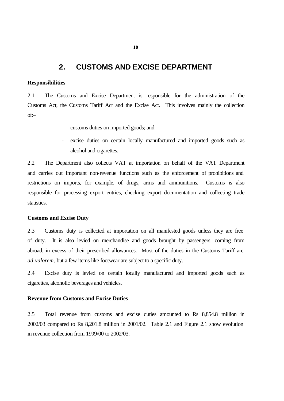### **2. CUSTOMS AND EXCISE DEPARTMENT**

#### **Responsibilities**

2.1 The Customs and Excise Department is responsible for the administration of the Customs Act, the Customs Tariff Act and the Excise Act. This involves mainly the collection of:–

- customs duties on imported goods; and
- excise duties on certain locally manufactured and imported goods such as alcohol and cigarettes.

2.2 The Department also collects VAT at importation on behalf of the VAT Department and carries out important non-revenue functions such as the enforcement of prohibitions and restrictions on imports, for example, of drugs, arms and ammunitions. Customs is also responsible for processing export entries, checking export documentation and collecting trade statistics.

#### **Customs and Excise Duty**

2.3 Customs duty is collected at importation on all manifested goods unless they are free of duty. It is also levied on merchandise and goods brought by passengers, coming from abroad, in excess of their prescribed allowances. Most of the duties in the Customs Tariff are *ad-valorem*, but a few items like footwear are subject to a specific duty.

2.4 Excise duty is levied on certain locally manufactured and imported goods such as cigarettes, alcoholic beverages and vehicles.

#### **Revenue from Customs and Excise Duties**

2.5 Total revenue from customs and excise duties amounted to Rs 8,854.8 million in 2002/03 compared to Rs 8,201.8 million in 2001/02. Table 2.1 and Figure 2.1 show evolution in revenue collection from 1999/00 to 2002/03.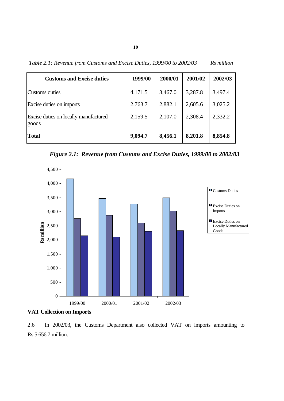*Table 2.1: Revenue from Customs and Excise Duties, 1999/00 to 2002/03 Rs million* 

| <b>Customs and Excise duties</b>               | 1999/00 | 2000/01 | 2001/02 | 2002/03 |
|------------------------------------------------|---------|---------|---------|---------|
| Customs duties                                 | 4,171.5 | 3,467.0 | 3,287.8 | 3,497.4 |
| Excise duties on imports                       | 2,763.7 | 2,882.1 | 2,605.6 | 3,025.2 |
| Excise duties on locally manufactured<br>goods | 2,159.5 | 2,107.0 | 2,308.4 | 2,332.2 |
| Total                                          | 9,094.7 | 8,456.1 | 8,201.8 | 8,854.8 |

*Figure 2.1: Revenue from Customs and Excise Duties, 1999/00 to 2002/03*





2.6 In 2002/03, the Customs Department also collected VAT on imports amounting to Rs 5,656.7 million.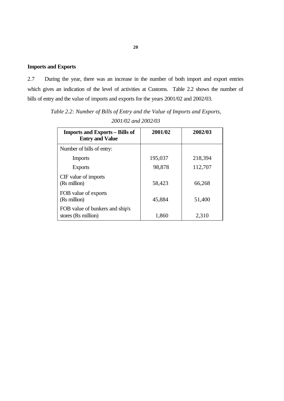### **Imports and Exports**

2.7 During the year, there was an increase in the number of both import and export entries which gives an indication of the level of activities at Customs. Table 2.2 shows the number of bills of entry and the value of imports and exports for the years 2001/02 and 2002/03.

| <b>Imports and Exports – Bills of</b><br><b>Entry and Value</b> | 2001/02 | 2002/03 |
|-----------------------------------------------------------------|---------|---------|
| Number of bills of entry:                                       |         |         |
| <b>Imports</b>                                                  | 195,037 | 218,394 |
| <b>Exports</b>                                                  | 98,878  | 112,707 |
| CIF value of imports<br>(Rs million)                            | 58,423  | 66,268  |
| FOB value of exports<br>(Rs million)                            | 45,884  | 51,400  |
| FOB value of bunkers and ship's<br>stores (Rs million)          | 1,860   | 2,310   |

*Table 2.2: Number of Bills of Entry and the Value of Imports and Exports, 2001/02 and 2002/03*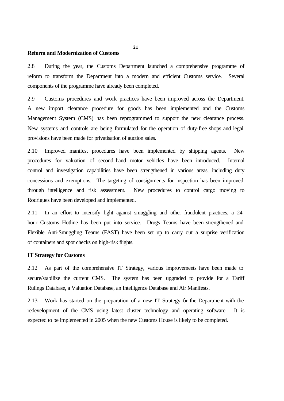#### **Reform and Modernization of Customs**

2.8 During the year, the Customs Department launched a comprehensive programme of reform to transform the Department into a modern and efficient Customs service. Several components of the programme have already been completed.

2.9 Customs procedures and work practices have been improved across the Department. A new import clearance procedure for goods has been implemented and the Customs Management System (CMS) has been reprogrammed to support the new clearance process. New systems and controls are being formulated for the operation of duty-free shops and legal provisions have been made for privatisation of auction sales.

2.10 Improved manifest procedures have been implemented by shipping agents. New procedures for valuation of second-hand motor vehicles have been introduced. Internal control and investigation capabilities have been strengthened in various areas, including duty concessions and exemptions. The targeting of consignments for inspection has been improved through intelligence and risk assessment. New procedures to control cargo moving to Rodrigues have been developed and implemented.

2.11 In an effort to intensify fight against smuggling and other fraudulent practices, a 24 hour Customs Hotline has been put into service. Drugs Teams have been strengthened and Flexible Anti-Smuggling Teams (FAST) have been set up to carry out a surprise verification of containers and spot checks on high-risk flights.

#### **IT Strategy for Customs**

2.12 As part of the comprehensive IT Strategy, various improvements have been made to secure/stabilize the current CMS. The system has been upgraded to provide for a Tariff Rulings Database, a Valuation Database, an Intelligence Database and Air Manifests.

2.13 Work has started on the preparation of a new IT Strategy for the Department with the redevelopment of the CMS using latest cluster technology and operating software. It is expected to be implemented in 2005 when the new Customs House is likely to be completed.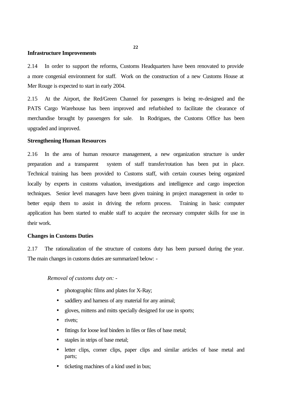#### **Infrastructure Improvements**

2.14 In order to support the reforms, Customs Headquarters have been renovated to provide a more congenial environment for staff. Work on the construction of a new Customs House at Mer Rouge is expected to start in early 2004.

2.15 At the Airport, the Red/Green Channel for passengers is being re-designed and the PATS Cargo Warehouse has been improved and refurbished to facilitate the clearance of merchandise brought by passengers for sale. In Rodrigues, the Customs Office has been upgraded and improved.

#### **Strengthening Human Resources**

2.16 In the area of human resource management, a new organization structure is under preparation and a transparent system of staff transfer/rotation has been put in place. Technical training has been provided to Customs staff, with certain courses being organized locally by experts in customs valuation, investigations and intelligence and cargo inspection techniques. Senior level managers have been given training in project management in order to better equip them to assist in driving the reform process. Training in basic computer application has been started to enable staff to acquire the necessary computer skills for use in their work.

#### **Changes in Customs Duties**

2.17 The rationalization of the structure of customs duty has been pursued during the year. The main changes in customs duties are summarized below: -

#### *Removal of customs duty on: -*

- photographic films and plates for X-Ray;
- saddlery and harness of any material for any animal;
- gloves, mittens and mitts specially designed for use in sports;
- rivets:
- fittings for loose leaf binders in files or files of base metal;
- staples in strips of base metal;
- letter clips, corner clips, paper clips and similar articles of base metal and parts;
- ticketing machines of a kind used in bus;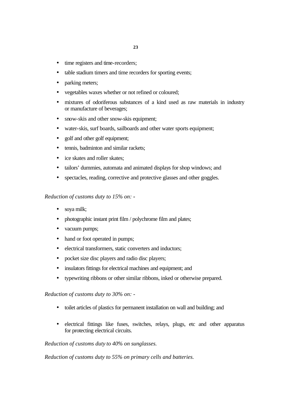- time registers and time-recorders;
- table stadium timers and time recorders for sporting events;
- parking meters;
- vegetables waxes whether or not refined or coloured;
- mixtures of odoriferous substances of a kind used as raw materials in industry or manufacture of beverages;
- snow-skis and other snow-skis equipment;
- water-skis, surf boards, sailboards and other water sports equipment;
- golf and other golf equipment;
- tennis, badminton and similar rackets;
- ice skates and roller skates;
- tailors' dummies, automata and animated displays for shop windows; and
- spectacles, reading, corrective and protective glasses and other goggles.

#### *Reduction of customs duty to 15% on: -*

- soya milk;
- photographic instant print film / polychrome film and plates;
- vacuum pumps;
- hand or foot operated in pumps;
- electrical transformers, static converters and inductors:
- pocket size disc players and radio disc players;
- insulators fittings for electrical machines and equipment; and
- typewriting ribbons or other similar ribbons, inked or otherwise prepared.

*Reduction of customs duty to 30% on: -*

- toilet articles of plastics for permanent installation on wall and building; and
- electrical fittings like fuses, switches, relays, plugs, etc and other apparatus for protecting electrical circuits.

#### *Reduction of customs duty to 40% on sunglasses.*

*Reduction of customs duty to 55% on primary cells and batteries.*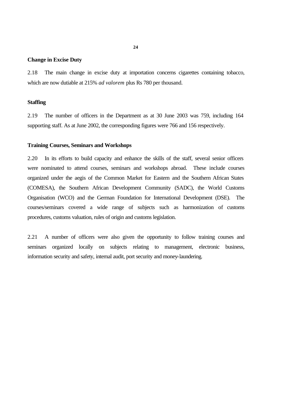#### **Change in Excise Duty**

2.18 The main change in excise duty at importation concerns cigarettes containing tobacco, which are now dutiable at 215% *ad valorem* plus Rs 780 per thousand.

#### **Staffing**

2.19 The number of officers in the Department as at 30 June 2003 was 759, including 164 supporting staff. As at June 2002, the corresponding figures were 766 and 156 respectively.

#### **Training Courses, Seminars and Workshops**

2.20 In its efforts to build capacity and enhance the skills of the staff, several senior officers were nominated to attend courses, seminars and workshops abroad. These include courses organized under the aegis of the Common Market for Eastern and the Southern African States (COMESA), the Southern African Development Community (SADC), the World Customs Organisation (WCO) and the German Foundation for International Development (DSE). The courses/seminars covered a wide range of subjects such as harmonization of customs procedures, customs valuation, rules of origin and customs legislation.

2.21 A number of officers were also given the opportunity to follow training courses and seminars organized locally on subjects relating to management, electronic business, information security and safety, internal audit, port security and money-laundering.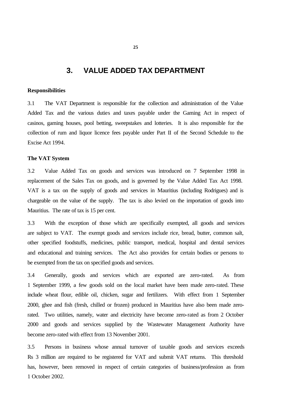### **3. VALUE ADDED TAX DEPARTMENT**

#### **Responsibilities**

3.1 The VAT Department is responsible for the collection and administration of the Value Added Tax and the various duties and taxes payable under the Gaming Act in respect of casinos, gaming houses, pool betting, sweepstakes and lotteries. It is also responsible for the collection of rum and liquor licence fees payable under Part II of the Second Schedule to the Excise Act 1994.

#### **The VAT System**

3.2 Value Added Tax on goods and services was introduced on 7 September 1998 in replacement of the Sales Tax on goods, and is governed by the Value Added Tax Act 1998. VAT is a tax on the supply of goods and services in Mauritius (including Rodrigues) and is chargeable on the value of the supply. The tax is also levied on the importation of goods into Mauritius. The rate of tax is 15 per cent.

3.3 With the exception of those which are specifically exempted, all goods and services are subject to VAT. The exempt goods and services include rice, bread, butter, common salt, other specified foodstuffs, medicines, public transport, medical, hospital and dental services and educational and training services. The Act also provides for certain bodies or persons to be exempted from the tax on specified goods and services.

3.4 Generally, goods and services which are exported are zero-rated. As from 1 September 1999, a few goods sold on the local market have been made zero-rated. These include wheat flour, edible oil, chicken, sugar and fertilizers. With effect from 1 September 2000, ghee and fish (fresh, chilled or frozen) produced in Mauritius have also been made zerorated. Two utilities, namely, water and electricity have become zero-rated as from 2 October 2000 and goods and services supplied by the Wastewater Management Authority have become zero-rated with effect from 13 November 2001.

3.5 Persons in business whose annual turnover of taxable goods and services exceeds Rs 3 million are required to be registered for VAT and submit VAT returns. This threshold has, however, been removed in respect of certain categories of business/profession as from 1 October 2002.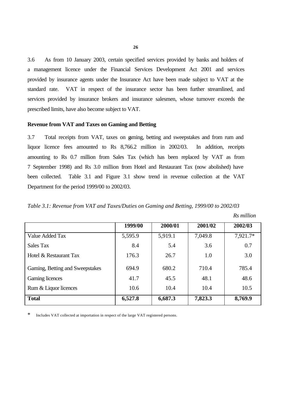3.6 As from 10 January 2003, certain specified services provided by banks and holders of a management licence under the Financial Services Development Act 2001 and services provided by insurance agents under the Insurance Act have been made subject to VAT at the standard rate. VAT in respect of the insurance sector has been further streamlined, and services provided by insurance brokers and insurance salesmen, whose turnover exceeds the prescribed limits, have also become subject to VAT.

#### **Revenue from VAT and Taxes on Gaming and Betting**

3.7 Total receipts from VAT, taxes on gaming, betting and sweepstakes and from rum and liquor licence fees amounted to Rs 8,766.2 million in 2002/03. In addition, receipts amounting to Rs 0.7 million from Sales Tax (which has been replaced by VAT as from 7 September 1998) and Rs 3.0 million from Hotel and Restaurant Tax (now abolished) have been collected. Table 3.1 and Figure 3.1 show trend in revenue collection at the VAT Department for the period 1999/00 to 2002/03.

| Table 3.1: Revenue from VAT and Taxes/Duties on Gaming and Betting, 1999/00 to 2002/03 |  |  |  |  |
|----------------------------------------------------------------------------------------|--|--|--|--|
|----------------------------------------------------------------------------------------|--|--|--|--|

|                                 | 1999/00 | 2000/01 | 2001/02 | 2002/03  |
|---------------------------------|---------|---------|---------|----------|
| Value Added Tax                 | 5,595.9 | 5,919.1 | 7,049.8 | 7,921.7* |
| <b>Sales Tax</b>                | 8.4     | 5.4     | 3.6     | 0.7      |
| Hotel & Restaurant Tax          | 176.3   | 26.7    | 1.0     | 3.0      |
| Gaming, Betting and Sweepstakes | 694.9   | 680.2   | 710.4   | 785.4    |
| <b>Gaming licences</b>          | 41.7    | 45.5    | 48.1    | 48.6     |
| Rum & Liquor licences           | 10.6    | 10.4    | 10.4    | 10.5     |
| <b>Total</b>                    | 6,527.8 | 6,687.3 | 7,823.3 | 8,769.9  |

 *Rs million*

\* Includes VAT collected at importation in respect of the large VAT registered persons.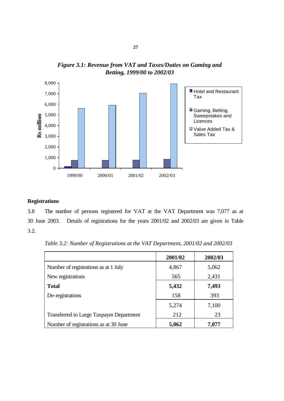

*Figure 3.1: Revenue from VAT and Taxes/Duties on Gaming and Betting, 1999/00 to 2002/03*

#### **Registrations**

3.8 The number of persons registered for VAT at the VAT Department was 7,077 as at 30 June 2003. Details of registrations for the years 2001/02 and 2002/03 are given in Table 3.2.

*Table 3.2: Number of Registrations at the VAT Department, 2001/02 and 2002/03*

|                                                 | 2001/02 | 2002/03 |
|-------------------------------------------------|---------|---------|
| Number of registrations as at 1 July            | 4,867   | 5,062   |
| New registrations                               | 565     | 2,431   |
| <b>Total</b>                                    | 5,432   | 7,493   |
| De-registrations                                | 158     | 393     |
|                                                 | 5,274   | 7,100   |
| <b>Transferred to Large Taxpayer Department</b> | 212     | 23      |
| Number of registrations as at 30 June           | 5,062   | 7,077   |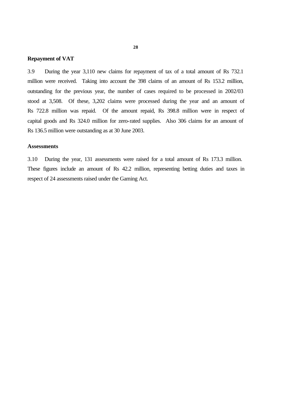#### **Repayment of VAT**

3.9 During the year 3,110 new claims for repayment of tax of a total amount of Rs 732.1 million were received. Taking into account the 398 claims of an amount of Rs 153.2 million, outstanding for the previous year, the number of cases required to be processed in 2002/03 stood at 3,508. Of these, 3,202 claims were processed during the year and an amount of Rs 722.8 million was repaid. Of the amount repaid, Rs 398.8 million were in respect of capital goods and Rs 324.0 million for zero-rated supplies. Also 306 claims for an amount of Rs 136.5 million were outstanding as at 30 June 2003.

#### **Assessments**

3.10 During the year, 131 assessments were raised for a total amount of Rs 173.3 million. These figures include an amount of Rs 42.2 million, representing betting duties and taxes in respect of 24 assessments raised under the Gaming Act.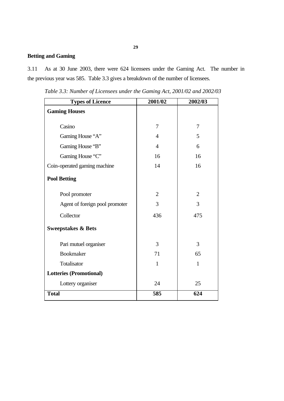### **Betting and Gaming**

3.11 As at 30 June 2003, there were 624 licensees under the Gaming Act. The number in the previous year was 585. Table 3.3 gives a breakdown of the number of licensees.

| <b>Types of Licence</b>        | 2001/02        | 2002/03        |
|--------------------------------|----------------|----------------|
| <b>Gaming Houses</b>           |                |                |
| Casino                         | 7              | 7              |
| Gaming House "A"               | $\overline{4}$ | 5              |
| Gaming House "B"               | $\overline{4}$ | 6              |
| Gaming House "C"               | 16             | 16             |
| Coin-operated gaming machine   | 14             | 16             |
| <b>Pool Betting</b>            |                |                |
| Pool promoter                  | $\overline{2}$ | $\overline{2}$ |
| Agent of foreign pool promoter | 3              | 3              |
| Collector                      | 436            | 475            |
| <b>Sweepstakes &amp; Bets</b>  |                |                |
| Pari mutuel organiser          | 3              | 3              |
| <b>Bookmaker</b>               | 71             | 65             |
| Totalisator                    | $\mathbf{1}$   | $\mathbf{1}$   |
| <b>Lotteries (Promotional)</b> |                |                |
| Lottery organiser              | 24             | 25             |
| <b>Total</b>                   | 585            | 624            |

*Table 3.3: Number of Licensees under the Gaming Act, 2001/02 and 2002/03*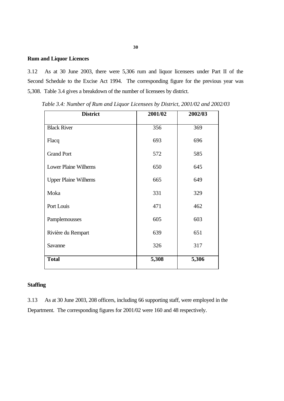#### **Rum and Liquor Licences**

3.12 As at 30 June 2003, there were 5,306 rum and liquor licensees under Part II of the Second Schedule to the Excise Act 1994. The corresponding figure for the previous year was 5,308. Table 3.4 gives a breakdown of the number of licensees by district.

| <b>District</b>             | 2001/02 | 2002/03 |
|-----------------------------|---------|---------|
| <b>Black River</b>          | 356     | 369     |
| Flacq                       | 693     | 696     |
| <b>Grand Port</b>           | 572     | 585     |
| <b>Lower Plaine Wilhems</b> | 650     | 645     |
| <b>Upper Plaine Wilhems</b> | 665     | 649     |
| Moka                        | 331     | 329     |
| Port Louis                  | 471     | 462     |
| Pamplemousses               | 605     | 603     |
| Rivière du Rempart          | 639     | 651     |
| Savanne                     | 326     | 317     |
| <b>Total</b>                | 5,308   | 5,306   |

*Table 3.4: Number of Rum and Liquor Licensees by District, 2001/02 and 2002/03*

#### **Staffing**

3.13 As at 30 June 2003, 208 officers, including 66 supporting staff, were employed in the Department. The corresponding figures for 2001/02 were 160 and 48 respectively.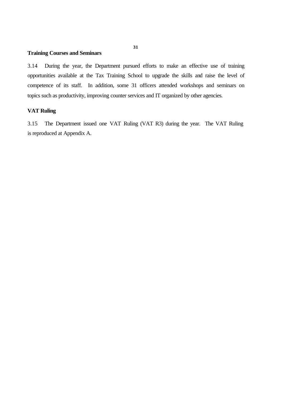#### **Training Courses and Seminars**

3.14 During the year, the Department pursued efforts to make an effective use of training opportunities available at the Tax Training School to upgrade the skills and raise the level of competence of its staff. In addition, some 31 officers attended workshops and seminars on topics such as productivity, improving counter services and IT organized by other agencies.

#### **VAT Ruling**

3.15 The Department issued one VAT Ruling (VAT R3) during the year. The VAT Ruling is reproduced at Appendix A.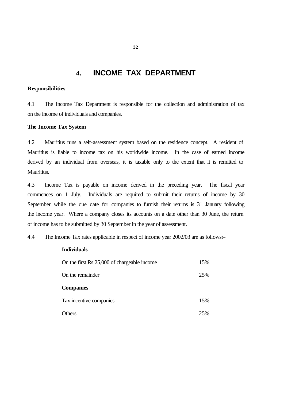### **4. INCOME TAX DEPARTMENT**

#### **Responsibilities**

4.1 The Income Tax Department is responsible for the collection and administration of tax on the income of individuals and companies.

#### **The Income Tax System**

4.2 Mauritius runs a self-assessment system based on the residence concept. A resident of Mauritius is liable to income tax on his worldwide income. In the case of earned income derived by an individual from overseas, it is taxable only to the extent that it is remitted to Mauritius.

4.3 Income Tax is payable on income derived in the preceding year. The fiscal year commences on 1 July. Individuals are required to submit their returns of income by 30 September while the due date for companies to furnish their returns is 31 January following the income year. Where a company closes its accounts on a date other than 30 June, the return of income has to be submitted by 30 September in the year of assessment.

4.4 The Income Tax rates applicable in respect of income year 2002/03 are as follows:–

#### **Individuals**

| On the first Rs 25,000 of chargeable income | 15% |
|---------------------------------------------|-----|
| On the remainder                            | 25% |
| <b>Companies</b>                            |     |
| Tax incentive companies                     | 15% |
| Others                                      | 25% |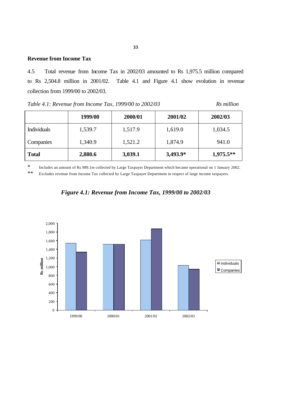#### **Revenue from Income Tax**

4.5 Total revenue from Income Tax in 2002/03 amounted to Rs 1,975.5 million compared to Rs 2,504.8 million in 2001/02. Table 4.1 and Figure 4.1 show evolution in revenue collection from 1999/00 to 2002/03.

*Table 4.1: Revenue from Income Tax, 1999/00 to 2002/03 Rs million*

|                    | 1999/00 | 2000/01 | 2001/02    | 2002/03     |
|--------------------|---------|---------|------------|-------------|
| <b>Individuals</b> | 1,539.7 | 1,517.9 | 1,619.0    | 1,034.5     |
| Companies          | 1,340.9 | 1,521.2 | 1,874.9    | 941.0       |
| <b>Total</b>       | 2,880.6 | 3,039.1 | $3,493.9*$ | $1,975.5**$ |

\* Includes an amount of Rs 989.1m collected by Large Taxpayer Department which became operational on 1 January 2002.

\*\* Excludes revenue from Income Tax collected by Large Taxpayer Department in respect of large income taxpayers.



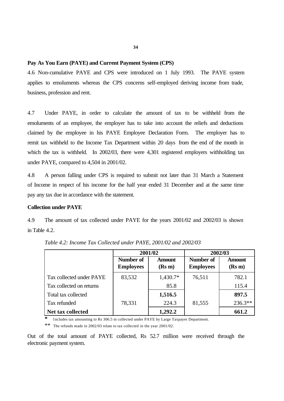#### **Pay As You Earn (PAYE) and Current Payment System (CPS)**

4.6 Non-cumulative PAYE and CPS were introduced on 1 July 1993. The PAYE system applies to emoluments whereas the CPS concerns self-employed deriving income from trade, business, profession and rent.

4.7 Under PAYE, in order to calculate the amount of tax to be withheld from the emoluments of an employee, the employer has to take into account the reliefs and deductions claimed by the employee in his PAYE Employee Declaration Form. The employer has to remit tax withheld to the Income Tax Department within 20 days from the end of the month in which the tax is withheld. In 2002/03, there were 4,301 registered employers withholding tax under PAYE, compared to 4,504 in 2001/02.

4.8 A person falling under CPS is required to submit not later than 31 March a Statement of Income in respect of his income for the half year ended 31 December and at the same time pay any tax due in accordance with the statement.

#### **Collection under PAYE**

4.9 The amount of tax collected under PAYE for the years 2001/02 and 2002/03 is shown in Table 4.2.

|                          | 2001/02                       |                         | 2002/03                              |                         |  |
|--------------------------|-------------------------------|-------------------------|--------------------------------------|-------------------------|--|
|                          | Number of<br><b>Employees</b> | <b>Amount</b><br>(Rs m) | <b>Number of</b><br><b>Employees</b> | <b>Amount</b><br>(Rs m) |  |
| Tax collected under PAYE | 83,532                        | 1,430.7*                | 76,511                               | 782.1                   |  |
| Tax collected on returns |                               | 85.8                    |                                      | 115.4                   |  |
| Total tax collected      |                               | 1,516.5                 |                                      | 897.5                   |  |
| Tax refunded             | 78,331                        | 224.3                   | 81,555                               | $236.3**$               |  |
| Net tax collected        |                               | 1,292.2                 |                                      | 661.2                   |  |

*Table 4.2: Income Tax Collected under PAYE, 2001/02 and 2002/03*

**\*** Includes tax amounting to Rs 306.5 m collected under PAYE by Large Taxpayer Department.

\*\* The refunds made in 2002/03 relate to tax collected in the year 2001/02.

Out of the total amount of PAYE collected, Rs 52.7 million were received through the electronic payment system.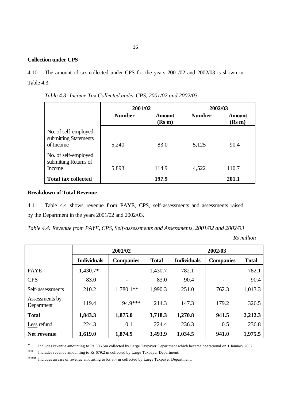#### **Collection under CPS**

4.10 The amount of tax collected under CPS for the years 2001/02 and 2002/03 is shown in Table 4.3.

**2001/02 2002/03 Number Amount (Rs m) Number Amount (Rs m)** No. of self-employed submitting Statements of Income 1 5,240 83.0 5,125 90.4 No. of self-employed submitting Returns of Income 1 5,893 114.9 4,522 110.7 **Total tax collected 197.9 201.1**

*Table 4.3: Income Tax Collected under CPS, 2001/02 and 2002/03*

#### **Breakdown of Total Revenue**

4.11 Table 4.4 shows revenue from PAYE, CPS, self-assessments and assessments raised by the Department in the years 2001/02 and 2002/03.

*Table 4.4: Revenue from PAYE, CPS, Self-assessments and Assessments, 2001/02 and 2002/03*

*Rs million*

|                              | 2001/02            |                  |              | 2002/03            |                  |              |  |
|------------------------------|--------------------|------------------|--------------|--------------------|------------------|--------------|--|
|                              | <b>Individuals</b> | <b>Companies</b> | <b>Total</b> | <b>Individuals</b> | <b>Companies</b> | <b>Total</b> |  |
| <b>PAYE</b>                  | 1,430.7*           |                  | 1,430.7      | 782.1              |                  | 782.1        |  |
| <b>CPS</b>                   | 83.0               |                  | 83.0         | 90.4               |                  | 90.4         |  |
| Self-assessments             | 210.2              | $1,780.1**$      | 1,990.3      | 251.0              | 762.3            | 1,013.3      |  |
| Assessments by<br>Department | 119.4              | 94.9***          | 214.3        | 147.3              | 179.2            | 326.5        |  |
| <b>Total</b>                 | 1,843.3            | 1,875.0          | 3,718.3      | 1,270.8            | 941.5            | 2,212.3      |  |
| Less refund                  | 224.3              | 0.1              | 224.4        | 236.3              | 0.5              | 236.8        |  |
| Net revenue                  | 1,619.0            | 1,874.9          | 3,493.9      | 1,034.5            | 941.0            | 1,975.5      |  |

\* Includes revenue amounting to Rs 306.5m collected by Large Taxpayer Department which became operational on 1 January 2002.

\*\* Includes revenue amounting to Rs 679.2 m collected by Large Taxpayer Department.

\*\*\* Includes arrears of revenue amounting to Rs 3.4 m collected by Large Taxpayer Department.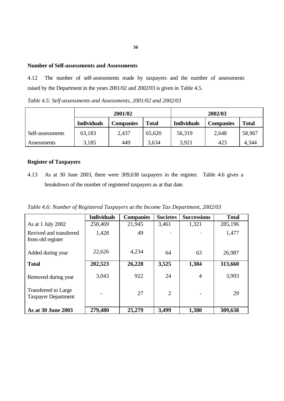#### **Number of Self-assessments and Assessments**

4.12 The number of self-assessments made by taxpayers and the number of assessments raised by the Department in the years 2001/02 and 2002/03 is given in Table 4.5.

*Table 4.5: Self-assessments and Assessments, 2001/02 and 2002/03*

|                  | 2001/02            |                  |              | 2002/03            |                  |              |
|------------------|--------------------|------------------|--------------|--------------------|------------------|--------------|
|                  | <b>Individuals</b> | <b>Companies</b> | <b>Total</b> | <b>Individuals</b> | <b>Companies</b> | <b>Total</b> |
| Self-assessments | 63,183             | 2,437            | 65,620       | 56,319             | 2,648            | 58,967       |
| Assessments      | 3,185              | 449              | 3,634        | 3,921              | 423              | 4,344        |

### **Register of Taxpayers**

4.13 As at 30 June 2003, there were 309,638 taxpayers in the register. Table 4.6 gives a breakdown of the number of registered taxpayers as at that date.

*Table 4.6: Number of Registered Taxpayers at the Income Tax Department, 2002/03*

|                                                           | <b>Individuals</b> | <b>Companies</b> | <b>Societes</b> | <b>Successions</b> | <b>Total</b> |
|-----------------------------------------------------------|--------------------|------------------|-----------------|--------------------|--------------|
| As at 1 July 2002                                         | 258,469            | 21,945           | 3,461           | 1,321              | 285,196      |
| Revived and transferred<br>from old register              | 1,428              | 49               |                 |                    | 1,477        |
| Added during year                                         | 22,626             | 4,234            | 64              | 63                 | 26,987       |
| <b>Total</b>                                              | 282,523            | 26,228           | 3,525           | 1,384              | 313,660      |
| Removed during year                                       | 3,043              | 922              | 24              | $\overline{4}$     | 3,993        |
| <b>Transferred to Large</b><br><b>Taxpayer Department</b> |                    | 27               | $\overline{2}$  |                    | 29           |
| As at 30 June 2003                                        | 279,480            | 25,279           | 3,499           | 1,380              | 309,638      |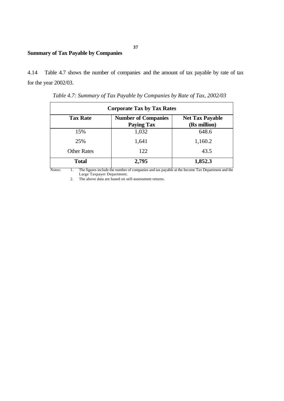### **Summary of Tax Payable by Companies**

4.14 Table 4.7 shows the number of companies and the amount of tax payable by rate of tax for the year 2002/03.

| <b>Corporate Tax by Tax Rates</b>                     |                                                   |                                             |  |  |  |
|-------------------------------------------------------|---------------------------------------------------|---------------------------------------------|--|--|--|
| <b>Tax Rate</b>                                       | <b>Number of Companies</b><br><b>Paying Tax</b>   | <b>Net Tax Payable</b><br>(Rs million)      |  |  |  |
| 15%                                                   | 1,032                                             | 648.6                                       |  |  |  |
| 25%                                                   | 1,641                                             | 1,160.2                                     |  |  |  |
| <b>Other Rates</b>                                    | 122                                               | 43.5                                        |  |  |  |
| <b>Total</b><br>$\mathbf{v}$<br>.<br>$\sim$<br>$\sim$ | 2,795<br>$\sim$<br><b>COLLEGE</b><br>$\mathbf{r}$ | 1,852.3<br>1.1<br>$\mathbf{r}$ $\mathbf{r}$ |  |  |  |

 *Table 4.7: Summary of Tax Payable by Companies by Rate of Tax, 2002/03*

Notes: 1. The figures include the number of companies and tax payable at the Income Tax Department and the Large Taxpayer Department.

2. The above data are based on self-assessment returns.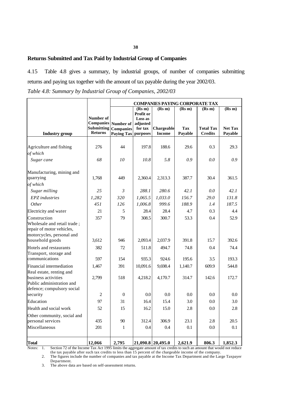#### **Returns Submitted and Tax Paid by Industrial Group of Companies**

4.15 Table 4.8 gives a summary, by industrial groups, of number of companies submitting returns and paying tax together with the amount of tax payable during the year 2002/03. *Table 4.8: Summary by Industrial Group of Companies, 2002/03*

|                                                                                                       |                                                         | <b>COMPANIES PAYING CORPORATE TAX</b>              |                                 |                             |                       |                                    |                           |
|-------------------------------------------------------------------------------------------------------|---------------------------------------------------------|----------------------------------------------------|---------------------------------|-----------------------------|-----------------------|------------------------------------|---------------------------|
|                                                                                                       | Number of                                               |                                                    | (Rs m)<br>Profit or<br>Loss as  | (Rs m)                      | (Rs m)                | (Rs m)                             | (Rs m)                    |
| <b>Industry</b> group                                                                                 | <b>Companies</b><br><b>Submitting</b><br><b>Returns</b> | Number of<br><b>Companies</b><br><b>Paying Tax</b> | adjusted<br>for tax<br>purposes | Chargeable<br><b>Income</b> | <b>Tax</b><br>Payable | <b>Total Tax</b><br><b>Credits</b> | <b>Net Tax</b><br>Payable |
|                                                                                                       |                                                         |                                                    |                                 |                             |                       |                                    |                           |
| Agriculture and fishing                                                                               | 276                                                     | 44                                                 | 197.8                           | 188.6                       | 29.6                  | 0.3                                | 29.3                      |
| of which                                                                                              |                                                         |                                                    |                                 |                             |                       |                                    |                           |
| Sugar cane                                                                                            | 68                                                      | 10                                                 | 10.8                            | 5.8                         | 0.9                   | 0.0                                | 0.9                       |
| Manufacturing, mining and<br>quarrying                                                                | 1,768                                                   | 449                                                | 2,360.4                         | 2,313.3                     | 387.7                 | 30.4                               | 361.5                     |
| of which                                                                                              |                                                         |                                                    |                                 |                             |                       |                                    |                           |
| Sugar milling                                                                                         | 25                                                      | 3                                                  | 288.1                           | 280.6                       | 42.1                  | 0.0                                | 42.1                      |
| <b>EPZ</b> industries                                                                                 | 1,282                                                   | 320                                                | 1,065.5                         | 1,033.0                     | 156.7                 | 29.0                               | 131.8                     |
| Other                                                                                                 | 451                                                     | 126                                                | 1,006.8                         | 999.6                       | 188.9                 | 1.4                                | 187.5                     |
| Electricity and water                                                                                 | 21                                                      | 5                                                  | 28.4                            | 28.4                        | 4.7                   | 0.3                                | 4.4                       |
| Construction<br>Wholesale and retail trade;<br>repair of motor vehicles,<br>motorcycles, personal and | 357                                                     | 79                                                 | 308.5                           | 300.7                       | 53.3                  | 0.4                                | 52.9                      |
| household goods                                                                                       | 3.612                                                   | 946                                                | 2,093.4                         | 2,037.9                     | 391.8                 | 15.7                               | 392.6                     |
| Hotels and restaurants<br>Transport, storage and                                                      | 382                                                     | 72                                                 | 511.8                           | 494.7                       | 74.8                  | 0.4                                | 74.4                      |
| communications                                                                                        | 597                                                     | 154                                                | 935.3                           | 924.6                       | 195.6                 | 3.5                                | 193.3                     |
| Financial intermediation<br>Real estate, renting and                                                  | 1,467                                                   | 391                                                | 10,091.6                        | 9,698.4                     | 1,140.7               | 609.9                              | 544.8                     |
| business activities<br>Public administration and<br>defence; compulsory social                        | 2,799                                                   | 518                                                | 4,218.2                         | 4,170.7                     | 314.7                 | 142.6                              | 172.7                     |
| security                                                                                              | $\overline{2}$                                          | $\theta$                                           | 0.0                             | 0.0                         | 0.0                   | 0.0                                | 0.0                       |
| Education                                                                                             | 97                                                      | 31                                                 | 16.4                            | 15.4                        | 3.0                   | 0.0                                | 3.0                       |
| Health and social work                                                                                | 52                                                      | 15                                                 | 16.2                            | 15.0                        | 2.8                   | 0.0                                | 2.8                       |
| Other community, social and<br>personal services                                                      | 435                                                     | 90                                                 | 312.4                           | 306.9                       | 23.1                  | 2.8                                | 20.5                      |
| Miscellaneous                                                                                         | 201                                                     | $\mathbf{1}$                                       | 0.4                             | 0.4                         | 0.1                   | 0.0                                | 0.1                       |
| <b>Total</b>                                                                                          | 12,066                                                  | 2,795                                              |                                 | 21,090.8 20,495.0           | 2,621.9               | 806.3                              | 1,852.3                   |

Notes: 1. Section 72 of the Income Tax Act 1995 limits the aggregate amount of tax credits to such an amount that would not reduce the tax payable after such tax credits to less than 15 percent of the chargeable income of the company.

2. The figures include the number of companies and tax payable at the Income Tax Department and the Large Taxpayer Department.

3. The above data are based on self-assessment returns.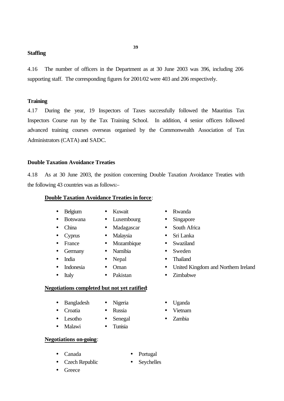#### **Staffing**

4.16 The number of officers in the Department as at 30 June 2003 was 396, including 206 supporting staff. The corresponding figures for 2001/02 were 403 and 206 respectively.

**39**

#### **Training**

4.17 During the year, 19 Inspectors of Taxes successfully followed the Mauritius Tax Inspectors Course run by the Tax Training School. In addition, 4 senior officers followed advanced training courses overseas organised by the Commonwealth Association of Tax Administrators (CATA) and SADC.

#### **Double Taxation Avoidance Treaties**

4.18 As at 30 June 2003, the position concerning Double Taxation Avoidance Treaties with the following 43 countries was as follows:–

#### **Double Taxation Avoidance Treaties in force**:

- 
- 
- -
- 
- 
- 
- -
- -
- 
- 
- 
- 
- -
	- -
- Belgium Kuwait Rwanda
	- Botswana Luxembourg Singapore
- China Madagascar South Africa
- Cyprus Malaysia Sri Lanka
	-
	-
- India Nepal Thailand
	- Indonesia Oman United Kingdom and Northern Ireland
	- Italy Pakistan Zimbabwe

#### **Negotiations completed but not yet ratified**:

- Bangladesh Nigeria Uganda
- Croatia Russia Vietnam
	-
- Malawi Tunisia
- 
- **Negotiations on-going**:
- 
- 
- 
- Lesotho Senegal Zambia
- 
- Czech Republic Seychelles
- Canada Portugal
	-

• Greece

- 
- France Mozambique Swaziland
	- Germany Namibia Sweden
		-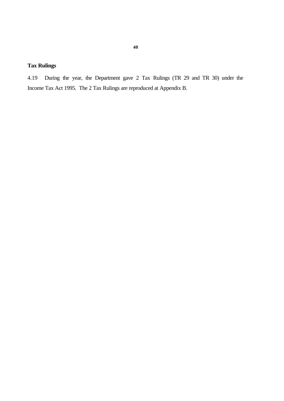### **Tax Rulings**

4.19 During the year, the Department gave 2 Tax Rulings (TR 29 and TR 30) under the Income Tax Act 1995. The 2 Tax Rulings are reproduced at Appendix B.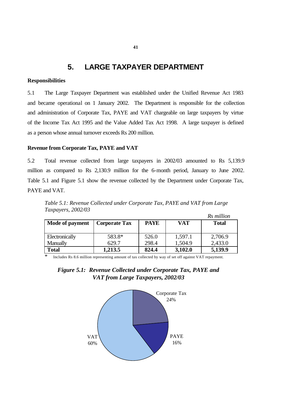### **5. LARGE TAXPAYER DEPARTMENT**

#### **Responsibilities**

5.1 The Large Taxpayer Department was established under the Unified Revenue Act 1983 and became operational on 1 January 2002. The Department is responsible for the collection and administration of Corporate Tax, PAYE and VAT chargeable on large taxpayers by virtue of the Income Tax Act 1995 and the Value Added Tax Act 1998. A large taxpayer is defined as a person whose annual turnover exceeds Rs 200 million.

#### **Revenue from Corporate Tax, PAYE and VAT**

5.2 Total revenue collected from large taxpayers in 2002/03 amounted to Rs 5,139.9 million as compared to Rs 2,130.9 million for the 6-month period, January to June 2002. Table 5.1 and Figure 5.1 show the revenue collected by the Department under Corporate Tax, PAYE and VAT.

*Table 5.1: Revenue Collected under Corporate Tax, PAYE and VAT from Large Taxpayers, 2002/03*

|                 |                      |             |            | Rs million   |
|-----------------|----------------------|-------------|------------|--------------|
| Mode of payment | <b>Corporate Tax</b> | <b>PAYE</b> | <b>VAT</b> | <b>Total</b> |
|                 |                      |             |            |              |
| Electronically  | 583.8*               | 526.0       | 1,597.1    | 2,706.9      |
| Manually        | 629.7                | 298.4       | 1,504.9    | 2,433.0      |
| <b>Total</b>    | 1,213.5              | 824.4       | 3,102.0    | 5,139.9      |

Includes Rs 8.6 million representing amount of tax collected by way of set off against VAT repayment.



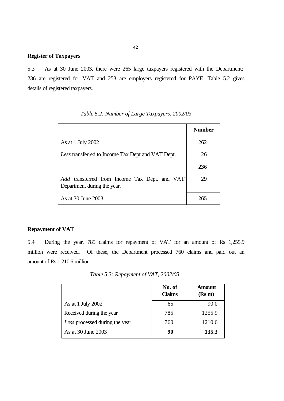#### **Register of Taxpayers**

5.3 As at 30 June 2003, there were 265 large taxpayers registered with the Department; 236 are registered for VAT and 253 are employers registered for PAYE. Table 5.2 gives details of registered taxpayers.

|                                                                              | <b>Number</b> |
|------------------------------------------------------------------------------|---------------|
| As at 1 July 2002                                                            | 262           |
| Less transferred to Income Tax Dept and VAT Dept.                            | 26            |
|                                                                              | 236           |
| Add transferred from Income Tax Dept. and VAT<br>Department during the year. | 29            |
| As at 30 June 2003                                                           | 265           |

*Table 5.2: Number of Large Taxpayers, 2002/03*

#### **Repayment of VAT**

5.4 During the year, 785 claims for repayment of VAT for an amount of Rs 1,255.9 million were received. Of these, the Department processed 760 claims and paid out an amount of Rs 1,210.6 million.

*Table 5.3: Repayment of VAT, 2002/03*

|                                | No. of<br><b>Claims</b> | <b>Amount</b><br>(Rs m) |
|--------------------------------|-------------------------|-------------------------|
| As at 1 July 2002              | 65                      | 90.0                    |
| Received during the year       | 785                     | 1255.9                  |
| Less processed during the year | 760                     | 1210.6                  |
| As at 30 June 2003             | 90                      | 135.3                   |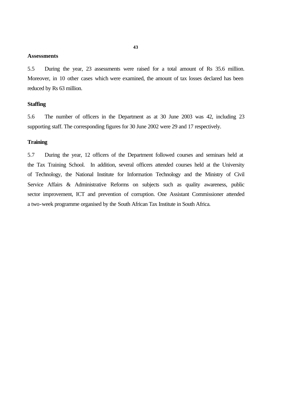#### **Assessments**

5.5 During the year, 23 assessments were raised for a total amount of Rs 35.6 million. Moreover, in 10 other cases which were examined, the amount of tax losses declared has been reduced by Rs 63 million.

#### **Staffing**

5.6 The number of officers in the Department as at 30 June 2003 was 42, including 23 supporting staff. The corresponding figures for 30 June 2002 were 29 and 17 respectively.

#### **Training**

5.7 During the year, 12 officers of the Department followed courses and seminars held at the Tax Training School. In addition, several officers attended courses held at the University of Technology, the National Institute for Information Technology and the Ministry of Civil Service Affairs & Administrative Reforms on subjects such as quality awareness, public sector improvement, ICT and prevention of corruption. One Assistant Commissioner attended a two-week programme organised by the South African Tax Institute in South Africa.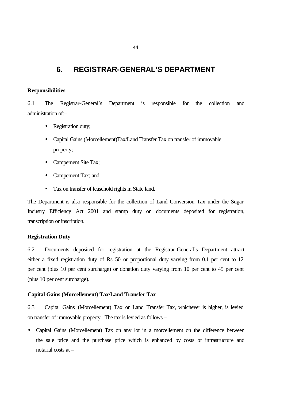### **6. REGISTRAR-GENERAL'S DEPARTMENT**

#### **Responsibilities**

6.1 The Registrar-General's Department is responsible for the collection and administration of:–

- Registration duty;
- Capital Gains (Morcellement)Tax/Land Transfer Tax on transfer of immovable property;
- Campement Site Tax;
- Campement Tax; and
- Tax on transfer of leasehold rights in State land.

The Department is also responsible for the collection of Land Conversion Tax under the Sugar Industry Efficiency Act 2001 and stamp duty on documents deposited for registration, transcription or inscription.

#### **Registration Duty**

6.2 Documents deposited for registration at the Registrar-General's Department attract either a fixed registration duty of Rs 50 or proportional duty varying from 0.1 per cent to 12 per cent (plus 10 per cent surcharge) or donation duty varying from 10 per cent to 45 per cent (plus 10 per cent surcharge).

#### **Capital Gains (Morcellement) Tax/Land Transfer Tax**

6.3 Capital Gains (Morcellement) Tax or Land Transfer Tax, whichever is higher, is levied on transfer of immovable property. The tax is levied as follows –

• Capital Gains (Morcellement) Tax on any lot in a morcellement on the difference between the sale price and the purchase price which is enhanced by costs of infrastructure and notarial costs at –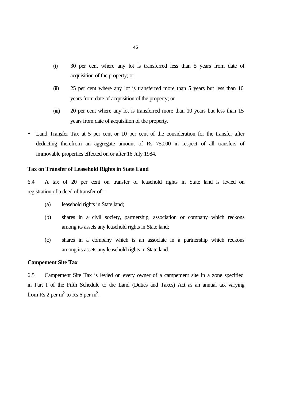- (i) 30 per cent where any lot is transferred less than 5 years from date of acquisition of the property; or
- (ii) 25 per cent where any lot is transferred more than 5 years but less than 10 years from date of acquisition of the property; or
- (iii) 20 per cent where any lot is transferred more than 10 years but less than 15 years from date of acquisition of the property.
- Land Transfer Tax at 5 per cent or 10 per cent of the consideration for the transfer after deducting therefrom an aggregate amount of Rs 75,000 in respect of all transfers of immovable properties effected on or after 16 July 1984.

#### **Tax on Transfer of Leasehold Rights in State Land**

6.4 A tax of 20 per cent on transfer of leasehold rights in State land is levied on registration of a deed of transfer of:–

- (a) leasehold rights in State land;
- (b) shares in a civil society, partnership, association or company which reckons among its assets any leasehold rights in State land;
- (c) shares in a company which is an associate in a partnership which reckons among its assets any leasehold rights in State land.

#### **Campement Site Tax**

6.5 Campement Site Tax is levied on every owner of a campement site in a zone specified in Part I of the Fifth Schedule to the Land (Duties and Taxes) Act as an annual tax varying from Rs 2 per  $m^2$  to Rs 6 per  $m^2$ .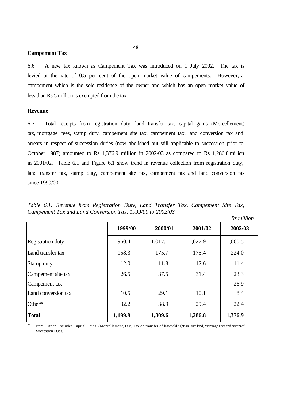#### **Campement Tax**

6.6 A new tax known as Campement Tax was introduced on 1 July 2002. The tax is levied at the rate of 0.5 per cent of the open market value of campements. However, a campement which is the sole residence of the owner and which has an open market value of less than Rs 5 million is exempted from the tax.

#### **Revenue**

6.7 Total receipts from registration duty, land transfer tax, capital gains (Morcellement) tax, mortgage fees, stamp duty, campement site tax, campement tax, land conversion tax and arrears in respect of succession duties (now abolished but still applicable to succession prior to October 1987) amounted to Rs 1,376.9 million in 2002/03 as compared to Rs 1,286.8 million in 2001/02. Table 6.1 and Figure 6.1 show trend in revenue collection from registration duty, land transfer tax, stamp duty, campement site tax, campement tax and land conversion tax since 1999/00.

*Table 6.1: Revenue from Registration Duty, Land Transfer Tax, Campement Site Tax, Campement Tax and Land Conversion Tax, 1999/00 to 2002/03 Rs million*

|                          |         |         |         | IS Muuton |
|--------------------------|---------|---------|---------|-----------|
|                          | 1999/00 | 2000/01 | 2001/02 | 2002/03   |
| <b>Registration duty</b> | 960.4   | 1,017.1 | 1,027.9 | 1,060.5   |
| Land transfer tax        | 158.3   | 175.7   | 175.4   | 224.0     |
| Stamp duty               | 12.0    | 11.3    | 12.6    | 11.4      |
| Campement site tax       | 26.5    | 37.5    | 31.4    | 23.3      |
| Campement tax            |         |         |         | 26.9      |
| Land conversion tax      | 10.5    | 29.1    | 10.1    | 8.4       |
| Other*                   | 32.2    | 38.9    | 29.4    | 22.4      |
| <b>Total</b>             | 1,199.9 | 1,309.6 | 1,286.8 | 1,376.9   |

\* Item "Other" includes Capital Gains (Morcellement)Tax, Tax on transfer of leasehold rights in State land, Mortgage Fees and arrears of Succession Dues.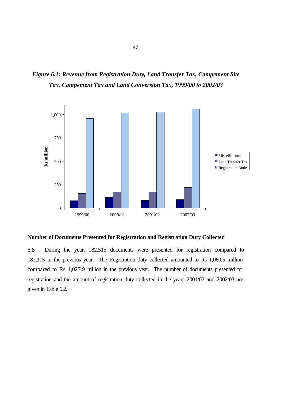*Figure 6.1: Revenue from Registration Duty, Land Transfer Tax, Campement Site Tax, Campement Tax and Land Conversion Tax, 1999/00 to 2002/03*



#### **Number of Documents Presented for Registration and Registration Duty Collected**

6.8 During the year, 182,515 documents were presented for registration compared to 182,115 in the previous year. The Registration duty collected amounted to Rs 1,060.5 million compared to Rs 1,027.9 million in the previous year. The number of documents presented for registration and the amount of registration duty collected in the years 2001/02 and 2002/03 are given in Table 6.2.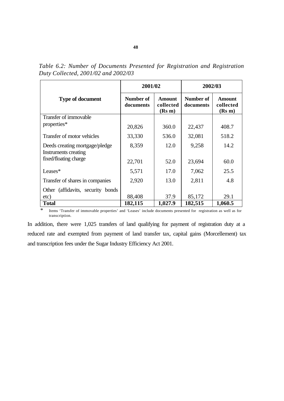|                                                                                 | 2001/02                |                                      | 2002/03                |                               |  |
|---------------------------------------------------------------------------------|------------------------|--------------------------------------|------------------------|-------------------------------|--|
| <b>Type of document</b>                                                         | Number of<br>documents | <b>Amount</b><br>collected<br>(Rs m) | Number of<br>documents | Amount<br>collected<br>(Rs m) |  |
| Transfer of immovable                                                           |                        |                                      |                        |                               |  |
| properties*                                                                     | 20,826                 | 360.0                                | 22,437                 | 408.7                         |  |
| Transfer of motor vehicles                                                      | 33,330                 | 536.0                                | 32,081                 | 518.2                         |  |
| Deeds creating mortgage/pledge<br>Instruments creating<br>fixed/floating charge | 8,359                  | 12.0                                 | 9,258                  | 14.2                          |  |
|                                                                                 | 22,701                 | 52.0                                 | 23,694                 | 60.0                          |  |
| Leases*                                                                         | 5,571                  | 17.0                                 | 7,062                  | 25.5                          |  |
| Transfer of shares in companies                                                 | 2,920                  | 13.0                                 | 2,811                  | 4.8                           |  |
| Other (affidavits, security bonds)                                              |                        |                                      |                        |                               |  |
| etc)                                                                            | 88,408                 | 37.9                                 | 85,172                 | 29.1                          |  |
| <b>Total</b>                                                                    | 182,115                | 1,027.9                              | 182,515                | 1,060.5                       |  |

*Table 6.2: Number of Documents Presented for Registration and Registration Duty Collected, 2001/02 and 2002/03*

\* Items 'Transfer of immovable properties' and 'Leases' include documents presented for registration as well as for transcription.

In addition, there were 1,025 transfers of land qualifying for payment of registration duty at a reduced rate and exempted from payment of land transfer tax, capital gains (Morcellement) tax and transcription fees under the Sugar Industry Efficiency Act 2001.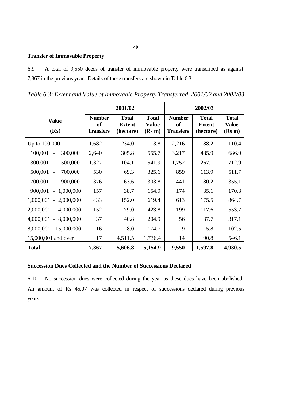### **Transfer of Immovable Property**

6.9 A total of 9,550 deeds of transfer of immovable property were transcribed as against 7,367 in the previous year. Details of these transfers are shown in Table 6.3.

*Table 6.3: Extent and Value of Immovable Property Transferred, 2001/02 and 2002/03*

|                                                |                                         | 2001/02                                    |                                        |                                         | 2002/03                                    |                                        |
|------------------------------------------------|-----------------------------------------|--------------------------------------------|----------------------------------------|-----------------------------------------|--------------------------------------------|----------------------------------------|
| <b>Value</b><br>(Rs)                           | <b>Number</b><br>of<br><b>Transfers</b> | <b>Total</b><br><b>Extent</b><br>(hectare) | <b>Total</b><br><b>Value</b><br>(Rs m) | <b>Number</b><br>of<br><b>Transfers</b> | <b>Total</b><br><b>Extent</b><br>(hectare) | <b>Total</b><br><b>Value</b><br>(Rs m) |
| Up to 100,000                                  | 1,682                                   | 234.0                                      | 113.8                                  | 2,216                                   | 188.2                                      | 110.4                                  |
| 100,001<br>300,000<br>$\overline{\phantom{a}}$ | 2,640                                   | 305.8                                      | 555.7                                  | 3,217                                   | 485.9                                      | 686.0                                  |
| 300,001<br>500,000<br>$\overline{\phantom{a}}$ | 1,327                                   | 104.1                                      | 541.9                                  | 1,752                                   | 267.1                                      | 712.9                                  |
| 700,000<br>500,001<br>$\blacksquare$           | 530                                     | 69.3                                       | 325.6                                  | 859                                     | 113.9                                      | 511.7                                  |
| $700,001 -$<br>900,000                         | 376                                     | 63.6                                       | 303.8                                  | 441                                     | 80.2                                       | 355.1                                  |
| 900,001<br>$-1,000,000$                        | 157                                     | 38.7                                       | 154.9                                  | 174                                     | 35.1                                       | 170.3                                  |
| $1,000,001 - 2,000,000$                        | 433                                     | 152.0                                      | 619.4                                  | 613                                     | 175.5                                      | 864.7                                  |
| $2,000,001 - 4,000,000$                        | 152                                     | 79.0                                       | 423.8                                  | 199                                     | 117.6                                      | 553.7                                  |
| $4,000,001 - 8,000,000$                        | 37                                      | 40.8                                       | 204.9                                  | 56                                      | 37.7                                       | 317.1                                  |
| 8,000,001 -15,000,000                          | 16                                      | 8.0                                        | 174.7                                  | 9                                       | 5.8                                        | 102.5                                  |
| 15,000,001 and over                            | 17                                      | 4,511.5                                    | 1,736.4                                | 14                                      | 90.8                                       | 546.1                                  |
| <b>Total</b>                                   | 7,367                                   | 5,606.8                                    | 5,154.9                                | 9,550                                   | 1,597.8                                    | 4,930.5                                |

### **Succession Dues Collected and the Number of Successions Declared**

6.10 No succession dues were collected during the year as these dues have been abolished. An amount of Rs 45.07 was collected in respect of successions declared during previous years.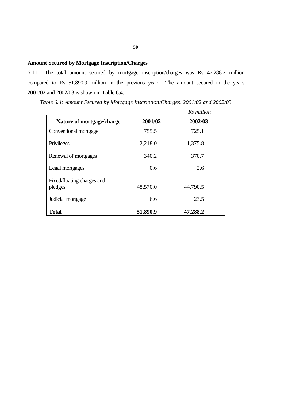### **Amount Secured by Mortgage Inscription/Charges**

6.11 The total amount secured by mortgage inscription/charges was Rs 47,288.2 million compared to Rs 51,890.9 million in the previous year. The amount secured in the years 2001/02 and 2002/03 is shown in Table 6.4.

| Table 6.4: Amount Secured by Mortgage Inscription/Charges, 2001/02 and 2002/03 |  |
|--------------------------------------------------------------------------------|--|
|--------------------------------------------------------------------------------|--|

|                                       |          | Rs million |
|---------------------------------------|----------|------------|
| Nature of mortgage/charge             | 2001/02  | 2002/03    |
| Conventional mortgage                 | 755.5    | 725.1      |
| Privileges                            | 2,218.0  | 1,375.8    |
| Renewal of mortgages                  | 340.2    | 370.7      |
| Legal mortgages                       | 0.6      | 2.6        |
| Fixed/floating charges and<br>pledges | 48,570.0 | 44,790.5   |
| Judicial mortgage                     | 6.6      | 23.5       |
| <b>Total</b>                          | 51,890.9 | 47,288.2   |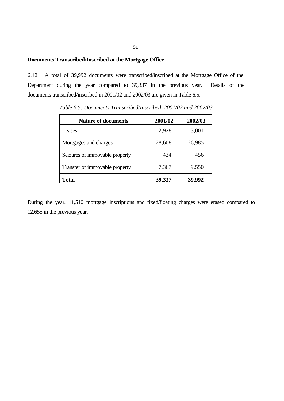#### **Documents Transcribed/Inscribed at the Mortgage Office**

6.12 A total of 39,992 documents were transcribed/inscribed at the Mortgage Office of the Department during the year compared to 39,337 in the previous year. Details of the documents transcribed/inscribed in 2001/02 and 2002/03 are given in Table 6.5.

| <b>Nature of documents</b>     | 2001/02 | 2002/03 |
|--------------------------------|---------|---------|
| Leases                         | 2,928   | 3,001   |
| Mortgages and charges          | 28,608  | 26,985  |
| Seizures of immovable property | 434     | 456     |
| Transfer of immovable property | 7,367   | 9,550   |
| Total                          | 39,337  | 39.992  |

*Table 6.5: Documents Transcribed/Inscribed, 2001/02 and 2002/03*

During the year, 11,510 mortgage inscriptions and fixed/floating charges were erased compared to 12,655 in the previous year.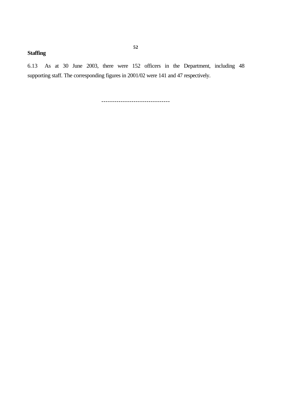### **Staffing**

6.13 As at 30 June 2003, there were 152 officers in the Department, including 48 supporting staff. The corresponding figures in 2001/02 were 141 and 47 respectively.

--------------------------------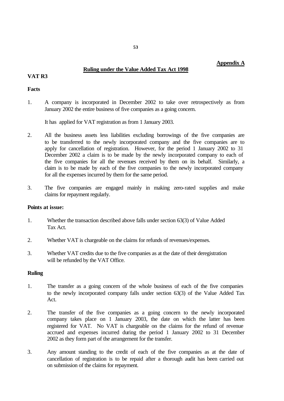### **Ruling under the Value Added Tax Act 1998**

#### **VAT R3**

#### **Facts**

1. A company is incorporated in December 2002 to take over retrospectively as from January 2002 the entire business of five companies as a going concern.

It has applied for VAT registration as from 1 January 2003.

- 2. All the business assets less liabilities excluding borrowings of the five companies are to be transferred to the newly incorporated company and the five companies are to apply for cancellation of registration. However, for the period 1 January 2002 to 31 December 2002 a claim is to be made by the newly incorporated company to each of the five companies for all the revenues received by them on its behalf. Similarly, a claim is to be made by each of the five companies to the newly incorporated company for all the expenses incurred by them for the same period.
- 3. The five companies are engaged mainly in making zero-rated supplies and make claims for repayment regularly.

#### **Points at issue:**

- 1. Whether the transaction described above falls under section 63(3) of Value Added Tax Act.
- 2. Whether VAT is chargeable on the claims for refunds of revenues/expenses.
- 3. Whether VAT credits due to the five companies as at the date of their deregistration will be refunded by the VAT Office.

#### **Ruling**

- 1. The transfer as a going concern of the whole business of each of the five companies to the newly incorporated company falls under section 63(3) of the Value Added Tax Act.
- 2. The transfer of the five companies as a going concern to the newly incorporated company takes place on 1 January 2003, the date on which the latter has been registered for VAT. No VAT is chargeable on the claims for the refund of revenue accrued and expenses incurred during the period 1 January 2002 to 31 December 2002 as they form part of the arrangement for the transfer.
- 3. Any amount standing to the credit of each of the five companies as at the date of cancellation of registration is to be repaid after a thorough audit has been carried out on submission of the claims for repayment.

### **Appendix A**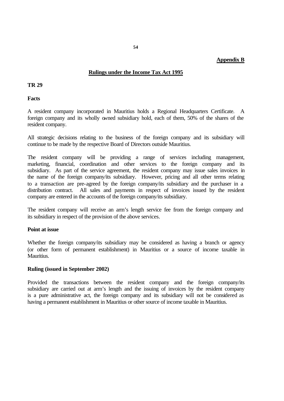#### **Appendix B**

#### **Rulings under the Income Tax Act 1995**

#### **TR 29**

**Facts**

A resident company incorporated in Mauritius holds a Regional Headquarters Certificate. A foreign company and its wholly owned subsidiary hold, each of them, 50% of the shares of the resident company.

All strategic decisions relating to the business of the foreign company and its subsidiary will continue to be made by the respective Board of Directors outside Mauritius.

The resident company will be providing a range of services including management, marketing, financial, coordination and other services to the foreign company and its subsidiary. As part of the service agreement, the resident company may issue sales invoices in the name of the foreign company/its subsidiary. However, pricing and all other terms relating to a transaction are pre-agreed by the foreign company/its subsidiary and the purchaser in a distribution contract. All sales and payments in respect of invoices issued by the resident company are entered in the accounts of the foreign company/its subsidiary.

The resident company will receive an arm's length service fee from the foreign company and its subsidiary in respect of the provision of the above services.

#### **Point at issue**

Whether the foreign company/its subsidiary may be considered as having a branch or agency (or other form of permanent establishment) in Mauritius or a source of income taxable in Mauritius.

#### **Ruling (issued in September 2002)**

Provided the transactions between the resident company and the foreign company/its subsidiary are carried out at arm's length and the issuing of invoices by the resident company is a pure administrative act, the foreign company and its subsidiary will not be considered as having a permanent establishment in Mauritius or other source of income taxable in Mauritius.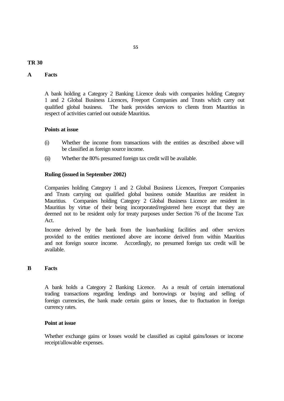#### **TR 30**

#### **A Facts**

A bank holding a Category 2 Banking Licence deals with companies holding Category 1 and 2 Global Business Licences, Freeport Companies and Trusts which carry out qualified global business. The bank provides services to clients from Mauritius in respect of activities carried out outside Mauritius.

#### **Points at issue**

- (i) Whether the income from transactions with the entities as described above will be classified as foreign source income.
- (ii) Whether the 80% presumed foreign tax credit will be available.

#### **Ruling (issued in September 2002)**

Companies holding Category 1 and 2 Global Business Licences, Freeport Companies and Trusts carrying out qualified global business outside Mauritius are resident in Mauritius. Companies holding Category 2 Global Business Licence are resident in Mauritius by virtue of their being incorporated/registered here except that they are deemed not to be resident only for treaty purposes under Section 76 of the Income Tax Act.

Income derived by the bank from the loan/banking facilities and other services provided to the entities mentioned above are income derived from within Mauritius and not foreign source income. Accordingly, no presumed foreign tax credit will be available.

#### **B Facts**

A bank holds a Category 2 Banking Licence. As a result of certain international trading transactions regarding lendings and borrowings or buying and selling of foreign currencies, the bank made certain gains or losses, due to fluctuation in foreign currency rates.

#### **Point at issue**

Whether exchange gains or losses would be classified as capital gains/losses or income receipt/allowable expenses.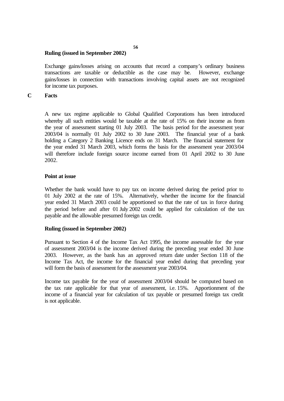#### **Ruling (issued in September 2002)**

Exchange gains/losses arising on accounts that record a company's ordinary business transactions are taxable or deductible as the case may be. However, exchange gains/losses in connection with transactions involving capital assets are not recognized for income tax purposes.

#### **C Facts**

A new tax regime applicable to Global Qualified Corporations has been introduced whereby all such entities would be taxable at the rate of 15% on their income as from the year of assessment starting 01 July 2003. The basis period for the assessment year 2003/04 is normally 01 July 2002 to 30 June 2003. The financial year of a bank holding a Category 2 Banking Licence ends on 31 March. The financial statement for the year ended 31 March 2003, which forms the basis for the assessment year 2003/04 will therefore include foreign source income earned from 01 April 2002 to 30 June 2002.

#### **Point at issue**

Whether the bank would have to pay tax on income derived during the period prior to 01 July 2002 at the rate of 15%. Alternatively, whether the income for the financial year ended 31 March 2003 could be apportioned so that the rate of tax in force during the period before and after 01 July 2002 could be applied for calculation of the tax payable and the allowable presumed foreign tax credit.

#### **Ruling (issued in September 2002)**

Pursuant to Section 4 of the Income Tax Act 1995, the income assessable for the year of assessment 2003/04 is the income derived during the preceding year ended 30 June 2003. However, as the bank has an approved return date under Section 118 of the Income Tax Act, the income for the financial year ended during that preceding year will form the basis of assessment for the assessment year 2003/04.

Income tax payable for the year of assessment 2003/04 should be computed based on the tax rate applicable for that year of assessment, i.e. 15%. Apportionment of the income of a financial year for calculation of tax payable or presumed foreign tax credit is not applicable.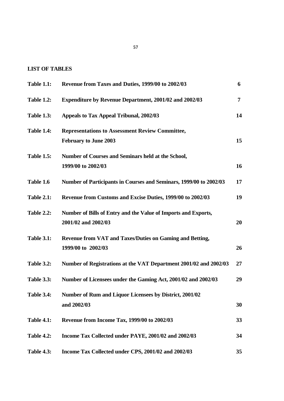#### **LIST OF TABLES**

| <b>Table 1.1:</b> | Revenue from Taxes and Duties, 1999/00 to 2002/03                                      | 6              |
|-------------------|----------------------------------------------------------------------------------------|----------------|
| <b>Table 1.2:</b> | <b>Expenditure by Revenue Department, 2001/02 and 2002/03</b>                          | $\overline{7}$ |
| <b>Table 1.3:</b> | Appeals to Tax Appeal Tribunal, 2002/03                                                | 14             |
| <b>Table 1.4:</b> | <b>Representations to Assessment Review Committee,</b><br><b>February to June 2003</b> | 15             |
| <b>Table 1.5:</b> | Number of Courses and Seminars held at the School,<br>1999/00 to 2002/03               | 16             |
| Table 1.6         | Number of Participants in Courses and Seminars, 1999/00 to 2002/03                     | 17             |
| <b>Table 2.1:</b> | Revenue from Customs and Excise Duties, 1999/00 to 2002/03                             | 19             |
| <b>Table 2.2:</b> | Number of Bills of Entry and the Value of Imports and Exports,<br>2001/02 and 2002/03  | 20             |
| <b>Table 3.1:</b> | <b>Revenue from VAT and Taxes/Duties on Gaming and Betting,</b><br>1999/00 to 2002/03  | 26             |
| <b>Table 3.2:</b> | Number of Registrations at the VAT Department 2001/02 and 2002/03                      | 27             |
| <b>Table 3.3:</b> | Number of Licensees under the Gaming Act, 2001/02 and 2002/03                          | 29             |
| <b>Table 3.4:</b> | <b>Number of Rum and Liquor Licensees by District, 2001/02</b><br>and 2002/03          | 30             |
| <b>Table 4.1:</b> | Revenue from Income Tax, 1999/00 to 2002/03                                            | 33             |
| <b>Table 4.2:</b> | Income Tax Collected under PAYE, 2001/02 and 2002/03                                   | 34             |
| <b>Table 4.3:</b> | Income Tax Collected under CPS, 2001/02 and 2002/03                                    | 35             |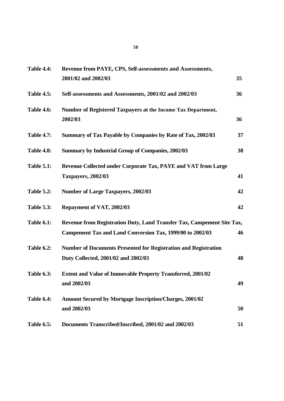| <b>Table 4.4:</b> | Revenue from PAYE, CPS, Self-assessments and Assessments,                                                                           |    |
|-------------------|-------------------------------------------------------------------------------------------------------------------------------------|----|
|                   | 2001/02 and 2002/03                                                                                                                 | 35 |
| <b>Table 4.5:</b> | Self-assessments and Assessments, 2001/02 and 2002/03                                                                               | 36 |
| <b>Table 4.6:</b> | Number of Registered Taxpayers at the Income Tax Department,<br>2002/03                                                             | 36 |
| <b>Table 4.7:</b> | Summary of Tax Payable by Companies by Rate of Tax, 2002/03                                                                         | 37 |
| <b>Table 4.8:</b> | <b>Summary by Industrial Group of Companies, 2002/03</b>                                                                            | 38 |
| <b>Table 5.1:</b> | Revenue Collected under Corporate Tax, PAYE and VAT from Large<br><b>Taxpayers, 2002/03</b>                                         | 41 |
| <b>Table 5.2:</b> | <b>Number of Large Taxpayers, 2002/03</b>                                                                                           | 42 |
| <b>Table 5.3:</b> | Repayment of VAT, 2002/03                                                                                                           | 42 |
| <b>Table 6.1:</b> | Revenue from Registration Duty, Land Transfer Tax, Campement Site Tax,<br>Campement Tax and Land Conversion Tax, 1999/00 to 2002/03 | 46 |
| <b>Table 6.2:</b> | <b>Number of Documents Presented for Registration and Registration</b><br>Duty Collected, 2001/02 and 2002/03                       | 48 |
| <b>Table 6.3:</b> | <b>Extent and Value of Immovable Property Transferred, 2001/02</b><br>and 2002/03                                                   | 49 |
| Table 6.4:        | <b>Amount Secured by Mortgage Inscription/Charges, 2001/02</b><br>and 2002/03                                                       | 50 |
| <b>Table 6.5:</b> | Documents Transcribed/Inscribed, 2001/02 and 2002/03                                                                                | 51 |
|                   |                                                                                                                                     |    |